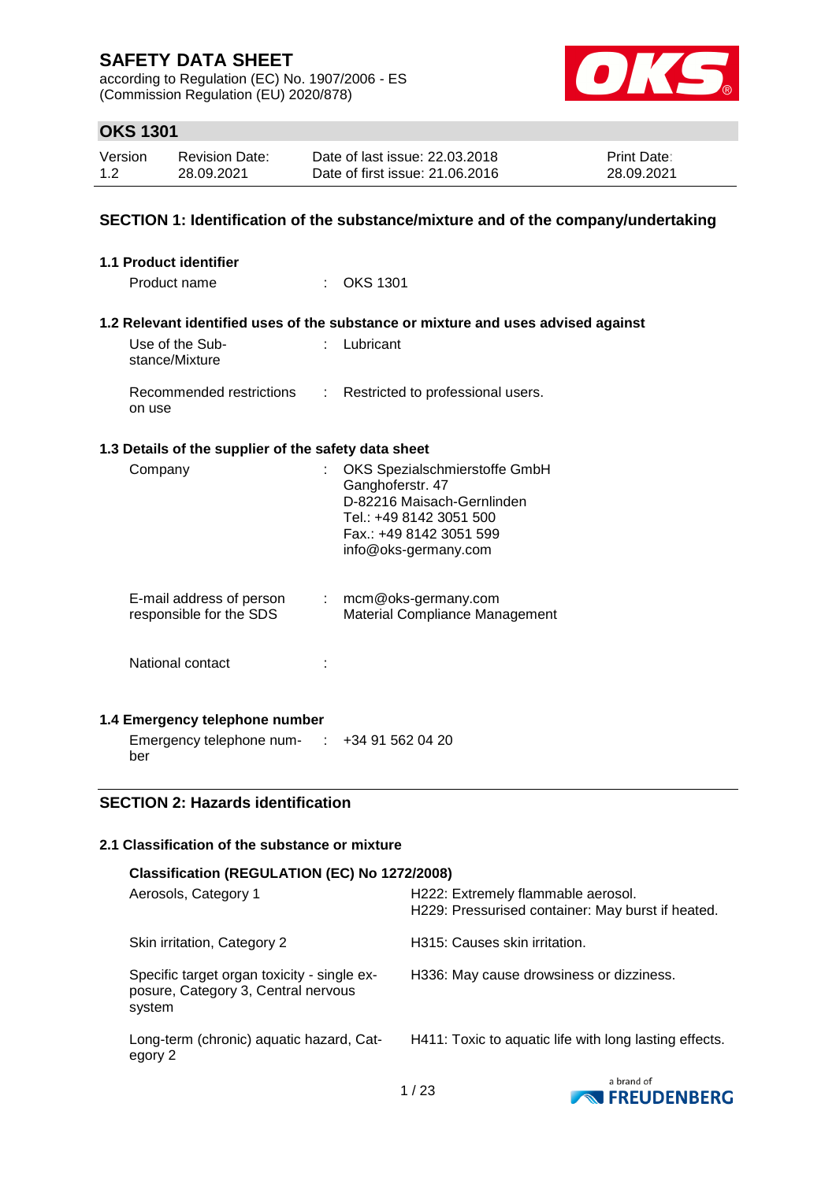according to Regulation (EC) No. 1907/2006 - ES (Commission Regulation (EU) 2020/878)



## **OKS 1301**

| Version | <b>Revision Date:</b> | Date of last issue: 22,03,2018  | <b>Print Date:</b> |
|---------|-----------------------|---------------------------------|--------------------|
| 1.2     | 28.09.2021            | Date of first issue: 21.06.2016 | 28.09.2021         |

### **SECTION 1: Identification of the substance/mixture and of the company/undertaking**

| 1.1 Product identifier                               |                                                                                                                                                               |
|------------------------------------------------------|---------------------------------------------------------------------------------------------------------------------------------------------------------------|
| Product name                                         | : OKS 1301                                                                                                                                                    |
| Use of the Sub-                                      | 1.2 Relevant identified uses of the substance or mixture and uses advised against<br>Lubricant                                                                |
| stance/Mixture                                       |                                                                                                                                                               |
| Recommended restrictions<br>on use                   | : Restricted to professional users.                                                                                                                           |
| 1.3 Details of the supplier of the safety data sheet |                                                                                                                                                               |
| Company                                              | OKS Spezialschmierstoffe GmbH<br>Ganghoferstr. 47<br>D-82216 Maisach-Gernlinden<br>Tel.: +49 8142 3051 500<br>Fax.: +49 8142 3051 599<br>info@oks-germany.com |
| E-mail address of person<br>responsible for the SDS  | : mcm@oks-germany.com<br><b>Material Compliance Management</b>                                                                                                |
| National contact                                     |                                                                                                                                                               |
| 1.4 Emergency telephone number                       |                                                                                                                                                               |
| Emergency telephone num- :                           | +34 91 562 04 20                                                                                                                                              |

### **SECTION 2: Hazards identification**

ber

### **2.1 Classification of the substance or mixture**

| Classification (REGULATION (EC) No 1272/2008)                                                |                                                                                         |  |  |  |
|----------------------------------------------------------------------------------------------|-----------------------------------------------------------------------------------------|--|--|--|
| Aerosols, Category 1                                                                         | H222: Extremely flammable aerosol.<br>H229: Pressurised container: May burst if heated. |  |  |  |
| Skin irritation, Category 2                                                                  | H315: Causes skin irritation.                                                           |  |  |  |
| Specific target organ toxicity - single ex-<br>posure, Category 3, Central nervous<br>system | H336: May cause drowsiness or dizziness.                                                |  |  |  |
| Long-term (chronic) aquatic hazard, Cat-<br>egory 2                                          | H411: Toxic to aquatic life with long lasting effects.                                  |  |  |  |

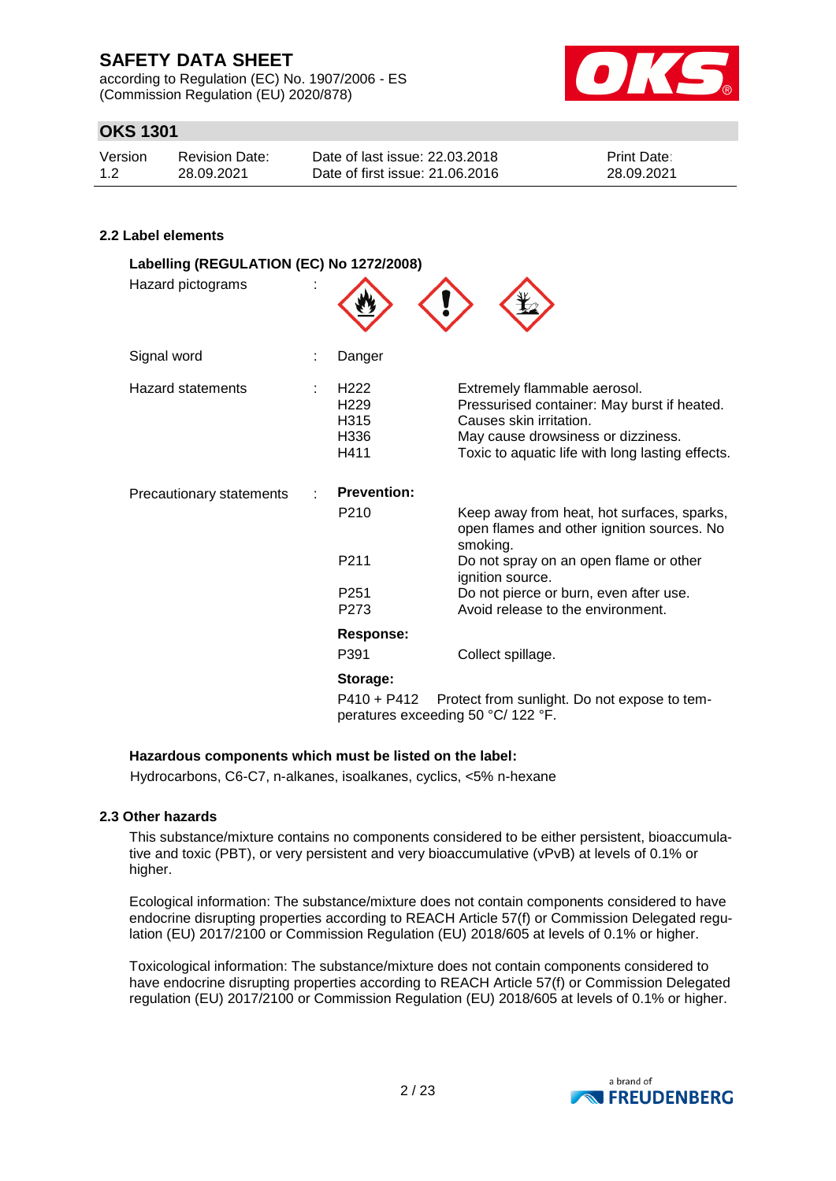according to Regulation (EC) No. 1907/2006 - ES (Commission Regulation (EU) 2020/878)



## **OKS 1301**

| Version | Revision Date: | Date of last issue: 22,03,2018  | <b>Print Date:</b> |
|---------|----------------|---------------------------------|--------------------|
| 1.2     | 28.09.2021     | Date of first issue: 21,06,2016 | 28.09.2021         |

### **2.2 Label elements**

| Labelling (REGULATION (EC) No 1272/2008)<br>Hazard pictograms |   |                                                               |                                                                                                                                                                                                  |
|---------------------------------------------------------------|---|---------------------------------------------------------------|--------------------------------------------------------------------------------------------------------------------------------------------------------------------------------------------------|
| Signal word                                                   |   | Danger                                                        |                                                                                                                                                                                                  |
| <b>Hazard statements</b>                                      | ÷ | H <sub>222</sub><br>H <sub>229</sub><br>H315<br>H336<br>H411  | Extremely flammable aerosol.<br>Pressurised container: May burst if heated.<br>Causes skin irritation.<br>May cause drowsiness or dizziness.<br>Toxic to aquatic life with long lasting effects. |
| <b>Precautionary statements</b>                               |   | <b>Prevention:</b>                                            |                                                                                                                                                                                                  |
|                                                               |   | P <sub>210</sub>                                              | Keep away from heat, hot surfaces, sparks,<br>open flames and other ignition sources. No<br>smoking.                                                                                             |
|                                                               |   | P211                                                          | Do not spray on an open flame or other<br>ignition source.                                                                                                                                       |
|                                                               |   | P <sub>251</sub><br>P273                                      | Do not pierce or burn, even after use.<br>Avoid release to the environment.                                                                                                                      |
|                                                               |   | Response:                                                     |                                                                                                                                                                                                  |
|                                                               |   | P391                                                          | Collect spillage.                                                                                                                                                                                |
|                                                               |   | Storage:<br>P410 + P412<br>peratures exceeding 50 °C/ 122 °F. | Protect from sunlight. Do not expose to tem-                                                                                                                                                     |

### **Hazardous components which must be listed on the label:**

Hydrocarbons, C6-C7, n-alkanes, isoalkanes, cyclics, <5% n-hexane

#### **2.3 Other hazards**

This substance/mixture contains no components considered to be either persistent, bioaccumulative and toxic (PBT), or very persistent and very bioaccumulative (vPvB) at levels of 0.1% or higher.

Ecological information: The substance/mixture does not contain components considered to have endocrine disrupting properties according to REACH Article 57(f) or Commission Delegated regulation (EU) 2017/2100 or Commission Regulation (EU) 2018/605 at levels of 0.1% or higher.

Toxicological information: The substance/mixture does not contain components considered to have endocrine disrupting properties according to REACH Article 57(f) or Commission Delegated regulation (EU) 2017/2100 or Commission Regulation (EU) 2018/605 at levels of 0.1% or higher.

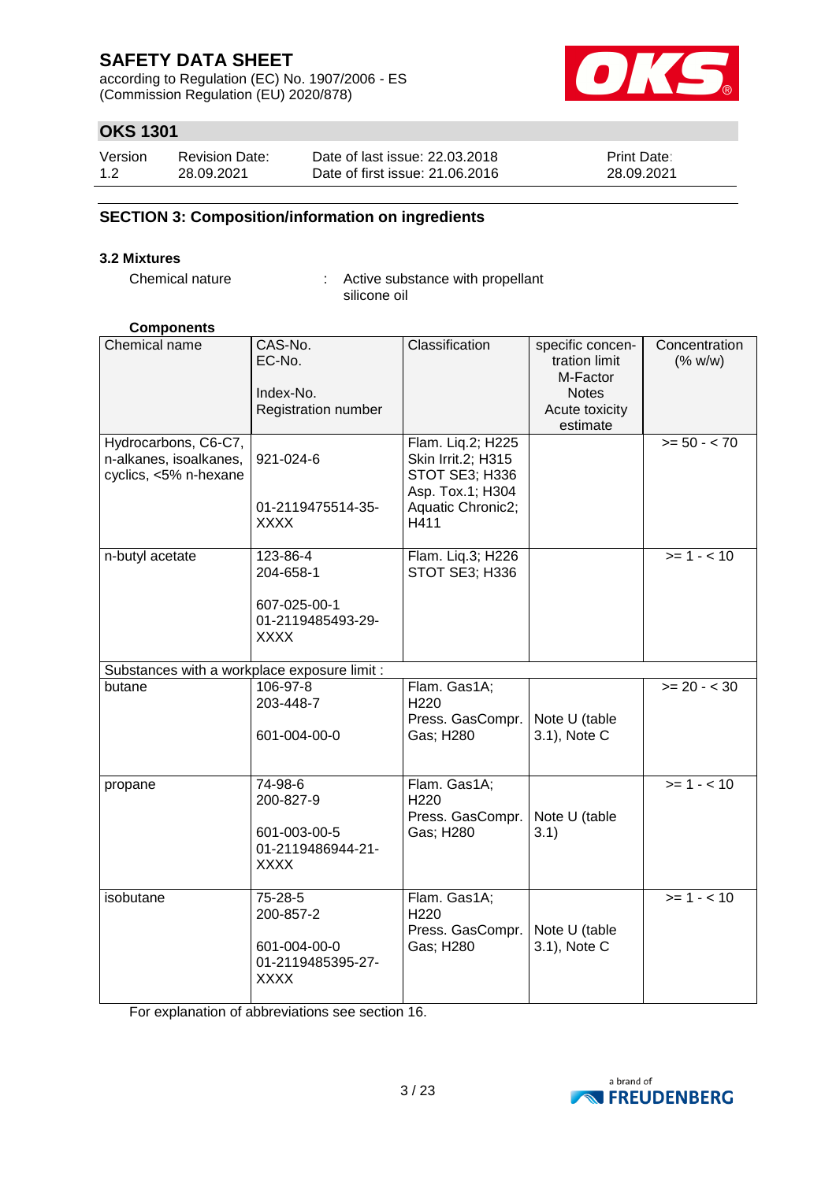according to Regulation (EC) No. 1907/2006 - ES (Commission Regulation (EU) 2020/878)



## **OKS 1301**

| Version | <b>Revision Date:</b> | Date of last issue: 22,03,2018  | <b>Print Date:</b> |
|---------|-----------------------|---------------------------------|--------------------|
| 1.2     | 28.09.2021            | Date of first issue: 21,06,2016 | 28.09.2021         |

### **SECTION 3: Composition/information on ingredients**

#### **3.2 Mixtures**

Chemical nature : Active substance with propellant silicone oil

#### **Components**

| Chemical name                                | CAS-No.                          | Classification            | specific concen- | Concentration  |
|----------------------------------------------|----------------------------------|---------------------------|------------------|----------------|
|                                              | EC-No.                           |                           | tration limit    | (% w/w)        |
|                                              |                                  |                           | M-Factor         |                |
|                                              | Index-No.                        |                           | <b>Notes</b>     |                |
|                                              | Registration number              |                           | Acute toxicity   |                |
|                                              |                                  |                           | estimate         |                |
| Hydrocarbons, C6-C7,                         |                                  | Flam. Liq.2; H225         |                  | $>= 50 - < 70$ |
| n-alkanes, isoalkanes,                       | 921-024-6                        | Skin Irrit.2; H315        |                  |                |
| cyclics, <5% n-hexane                        |                                  | STOT SE3; H336            |                  |                |
|                                              |                                  | Asp. Tox.1; H304          |                  |                |
|                                              | 01-2119475514-35-<br><b>XXXX</b> | Aquatic Chronic2;<br>H411 |                  |                |
|                                              |                                  |                           |                  |                |
| n-butyl acetate                              | 123-86-4                         | Flam. Liq.3; H226         |                  | $>= 1 - 10$    |
|                                              | 204-658-1                        | STOT SE3; H336            |                  |                |
|                                              |                                  |                           |                  |                |
|                                              | 607-025-00-1                     |                           |                  |                |
|                                              | 01-2119485493-29-                |                           |                  |                |
|                                              | XXXX                             |                           |                  |                |
|                                              |                                  |                           |                  |                |
| Substances with a workplace exposure limit : |                                  |                           |                  |                |
| butane                                       | 106-97-8                         | Flam. Gas1A;              |                  | $>= 20 - < 30$ |
|                                              | 203-448-7                        | H220<br>Press. GasCompr.  | Note U (table    |                |
|                                              | 601-004-00-0                     | Gas; H280                 | 3.1), Note C     |                |
|                                              |                                  |                           |                  |                |
|                                              |                                  |                           |                  |                |
| propane                                      | 74-98-6                          | Flam. Gas1A;              |                  | $>= 1 - 10$    |
|                                              | 200-827-9                        | H <sub>220</sub>          |                  |                |
|                                              |                                  | Press. GasCompr.          | Note U (table    |                |
|                                              | 601-003-00-5                     | Gas; H280                 | 3.1)             |                |
|                                              | 01-2119486944-21-                |                           |                  |                |
|                                              | <b>XXXX</b>                      |                           |                  |                |
| isobutane                                    | 75-28-5                          |                           |                  | $>= 1 - 10$    |
|                                              | 200-857-2                        | Flam. Gas1A;<br>H220      |                  |                |
|                                              |                                  | Press. GasCompr.          | Note U (table    |                |
|                                              | 601-004-00-0                     | Gas; H280                 | 3.1), Note C     |                |
|                                              | 01-2119485395-27-                |                           |                  |                |
|                                              | <b>XXXX</b>                      |                           |                  |                |
|                                              |                                  |                           |                  |                |

For explanation of abbreviations see section 16.

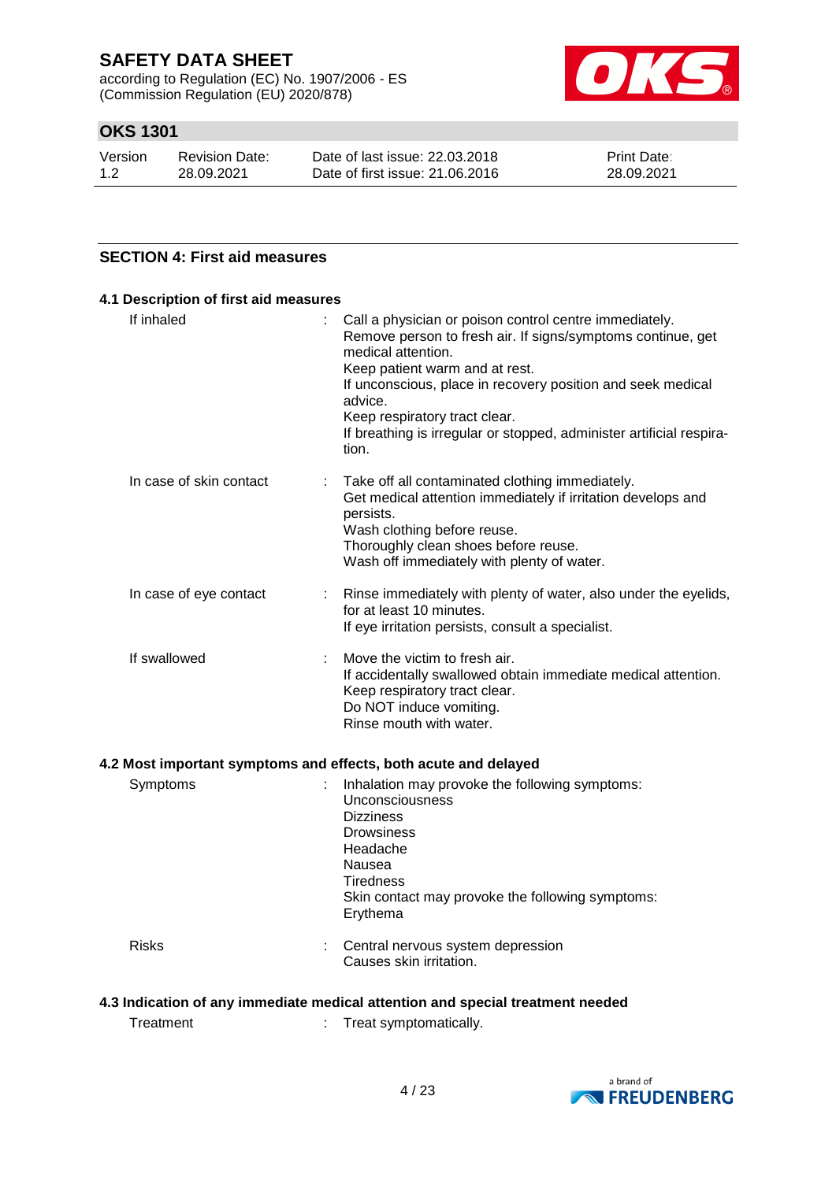according to Regulation (EC) No. 1907/2006 - ES (Commission Regulation (EU) 2020/878)



## **OKS 1301**

| Version | <b>Revision Date:</b> | Date of last issue: 22,03,2018  | <b>Print Date:</b> |
|---------|-----------------------|---------------------------------|--------------------|
| 1.2     | 28.09.2021            | Date of first issue: 21,06,2016 | 28.09.2021         |

### **SECTION 4: First aid measures**

| If inhaled              | Call a physician or poison control centre immediately.<br>t.<br>Remove person to fresh air. If signs/symptoms continue, get<br>medical attention.<br>Keep patient warm and at rest.<br>If unconscious, place in recovery position and seek medical<br>advice.<br>Keep respiratory tract clear.<br>If breathing is irregular or stopped, administer artificial respira-<br>tion. |
|-------------------------|---------------------------------------------------------------------------------------------------------------------------------------------------------------------------------------------------------------------------------------------------------------------------------------------------------------------------------------------------------------------------------|
| In case of skin contact | Take off all contaminated clothing immediately.<br>Get medical attention immediately if irritation develops and<br>persists.<br>Wash clothing before reuse.<br>Thoroughly clean shoes before reuse.<br>Wash off immediately with plenty of water.                                                                                                                               |
| In case of eye contact  | : Rinse immediately with plenty of water, also under the eyelids,<br>for at least 10 minutes.<br>If eye irritation persists, consult a specialist.                                                                                                                                                                                                                              |
| If swallowed            | Move the victim to fresh air.<br>If accidentally swallowed obtain immediate medical attention.<br>Keep respiratory tract clear.<br>Do NOT induce vomiting.<br>Rinse mouth with water.                                                                                                                                                                                           |

### **4.2 Most important symptoms and effects, both acute and delayed**

| Symptoms     | Inhalation may provoke the following symptoms:<br>Unconsciousness<br><b>Dizziness</b><br><b>Drowsiness</b><br>Headache<br>Nausea<br>Tiredness<br>Skin contact may provoke the following symptoms:<br>Erythema |
|--------------|---------------------------------------------------------------------------------------------------------------------------------------------------------------------------------------------------------------|
| <b>Risks</b> | Central nervous system depression<br>Causes skin irritation.                                                                                                                                                  |

### **4.3 Indication of any immediate medical attention and special treatment needed**

Treatment : Treat symptomatically.

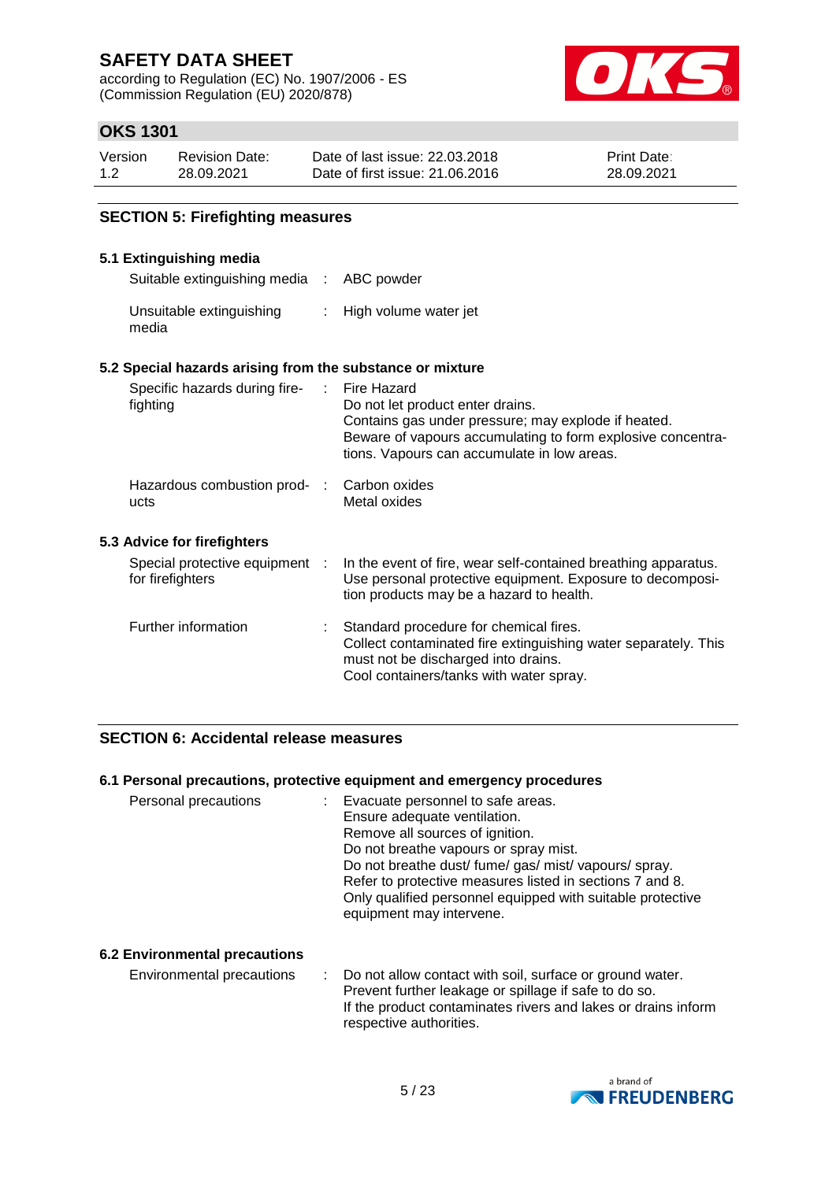according to Regulation (EC) No. 1907/2006 - ES (Commission Regulation (EU) 2020/878)



## **OKS 1301**

| Version | <b>Revision Date:</b> | Date of last issue: 22.03.2018  | <b>Print Date:</b> |
|---------|-----------------------|---------------------------------|--------------------|
| 1.2     | 28.09.2021            | Date of first issue: 21,06,2016 | 28.09.2021         |

### **SECTION 5: Firefighting measures**

### **5.1 Extinguishing media**

Suitable extinguishing media : ABC powder

| Unsuitable extinguishing | High volume water jet |
|--------------------------|-----------------------|
| media                    |                       |

### **5.2 Special hazards arising from the substance or mixture**

|                             | Specific hazards during fire-<br>fighting          |  | : Fire Hazard<br>Do not let product enter drains.<br>Contains gas under pressure; may explode if heated.<br>Beware of vapours accumulating to form explosive concentra-<br>tions. Vapours can accumulate in low areas. |
|-----------------------------|----------------------------------------------------|--|------------------------------------------------------------------------------------------------------------------------------------------------------------------------------------------------------------------------|
|                             | Hazardous combustion prod- :<br>ucts               |  | Carbon oxides<br>Metal oxides                                                                                                                                                                                          |
| 5.3 Advice for firefighters |                                                    |  |                                                                                                                                                                                                                        |
|                             | Special protective equipment :<br>for firefighters |  | In the event of fire, wear self-contained breathing apparatus.<br>Use personal protective equipment. Exposure to decomposi-<br>tion products may be a hazard to health.                                                |
|                             | Further information                                |  | : Standard procedure for chemical fires.<br>Collect contaminated fire extinguishing water separately. This<br>must not be discharged into drains.<br>Cool containers/tanks with water spray.                           |

### **SECTION 6: Accidental release measures**

#### **6.1 Personal precautions, protective equipment and emergency procedures**

| Personal precautions | Evacuate personnel to safe areas.                          |
|----------------------|------------------------------------------------------------|
|                      | Ensure adequate ventilation.                               |
|                      | Remove all sources of ignition.                            |
|                      | Do not breathe vapours or spray mist.                      |
|                      | Do not breathe dust/ fume/ gas/ mist/ vapours/ spray.      |
|                      | Refer to protective measures listed in sections 7 and 8.   |
|                      | Only qualified personnel equipped with suitable protective |
|                      | equipment may intervene.                                   |
|                      |                                                            |

### **6.2 Environmental precautions**

Environmental precautions : Do not allow contact with soil, surface or ground water. Prevent further leakage or spillage if safe to do so. If the product contaminates rivers and lakes or drains inform respective authorities.

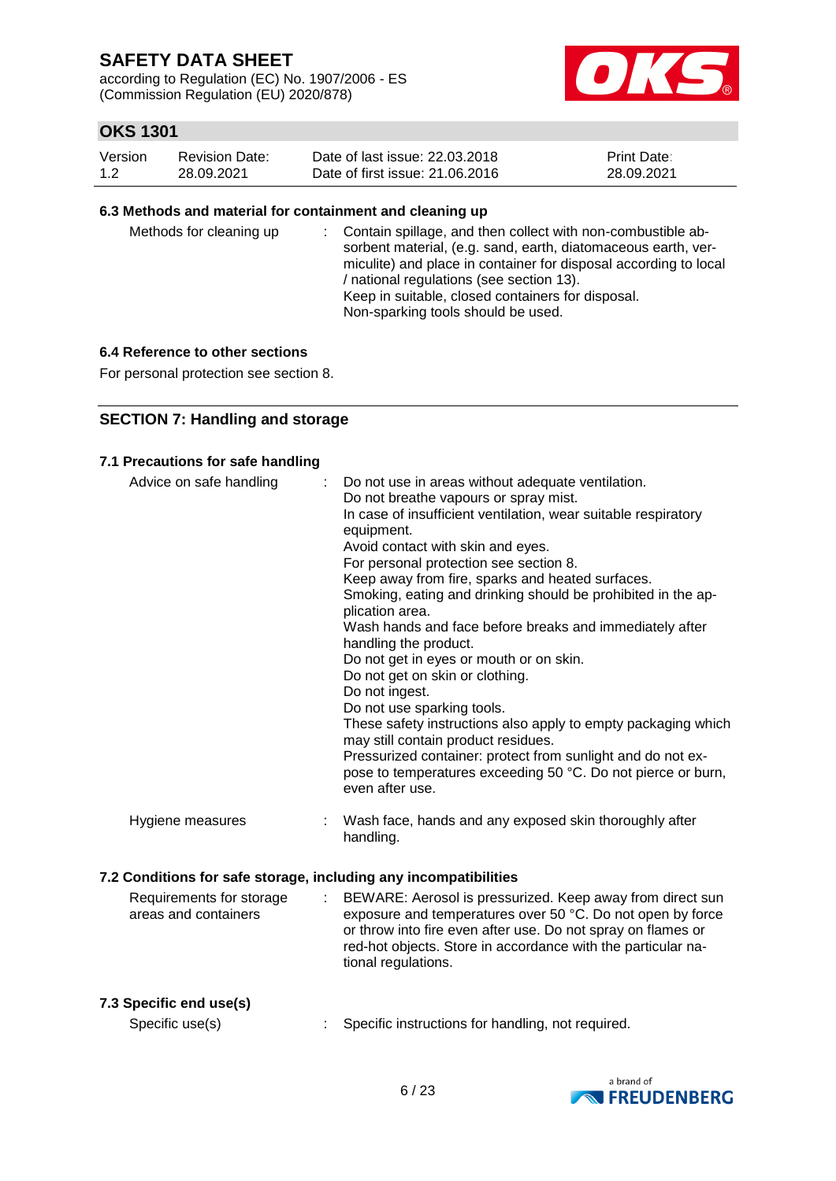according to Regulation (EC) No. 1907/2006 - ES (Commission Regulation (EU) 2020/878)



## **OKS 1301**

| Version | Revision Date: | Date of last issue: 22,03,2018  | <b>Print Date:</b> |
|---------|----------------|---------------------------------|--------------------|
| 1.2     | 28.09.2021     | Date of first issue: 21,06,2016 | 28.09.2021         |

#### **6.3 Methods and material for containment and cleaning up**

| Methods for cleaning up |  | : Contain spillage, and then collect with non-combustible ab-<br>sorbent material, (e.g. sand, earth, diatomaceous earth, ver-<br>miculite) and place in container for disposal according to local<br>/ national regulations (see section 13).<br>Keep in suitable, closed containers for disposal.<br>Non-sparking tools should be used. |
|-------------------------|--|-------------------------------------------------------------------------------------------------------------------------------------------------------------------------------------------------------------------------------------------------------------------------------------------------------------------------------------------|
|-------------------------|--|-------------------------------------------------------------------------------------------------------------------------------------------------------------------------------------------------------------------------------------------------------------------------------------------------------------------------------------------|

### **6.4 Reference to other sections**

For personal protection see section 8.

### **SECTION 7: Handling and storage**

#### **7.1 Precautions for safe handling**

| Advice on safe handling                          |                       | Do not use in areas without adequate ventilation.<br>Do not breathe vapours or spray mist.<br>In case of insufficient ventilation, wear suitable respiratory<br>equipment.<br>Avoid contact with skin and eyes.<br>For personal protection see section 8.<br>Keep away from fire, sparks and heated surfaces.<br>Smoking, eating and drinking should be prohibited in the ap-<br>plication area.<br>Wash hands and face before breaks and immediately after<br>handling the product.<br>Do not get in eyes or mouth or on skin.<br>Do not get on skin or clothing.<br>Do not ingest.<br>Do not use sparking tools.<br>These safety instructions also apply to empty packaging which<br>may still contain product residues.<br>Pressurized container: protect from sunlight and do not ex-<br>pose to temperatures exceeding 50 °C. Do not pierce or burn,<br>even after use. |
|--------------------------------------------------|-----------------------|------------------------------------------------------------------------------------------------------------------------------------------------------------------------------------------------------------------------------------------------------------------------------------------------------------------------------------------------------------------------------------------------------------------------------------------------------------------------------------------------------------------------------------------------------------------------------------------------------------------------------------------------------------------------------------------------------------------------------------------------------------------------------------------------------------------------------------------------------------------------------|
| Hygiene measures                                 |                       | Wash face, hands and any exposed skin thoroughly after<br>handling.                                                                                                                                                                                                                                                                                                                                                                                                                                                                                                                                                                                                                                                                                                                                                                                                          |
|                                                  |                       | 7.2 Conditions for safe storage, including any incompatibilities                                                                                                                                                                                                                                                                                                                                                                                                                                                                                                                                                                                                                                                                                                                                                                                                             |
| Requirements for storage<br>areas and containers | $\mathbb{Z}^{\times}$ | BEWARE: Aerosol is pressurized. Keep away from direct sun<br>exposure and temperatures over 50 °C. Do not open by force<br>or throw into fire even after use. Do not spray on flames or<br>red-hot objects. Store in accordance with the particular na-<br>tional regulations.                                                                                                                                                                                                                                                                                                                                                                                                                                                                                                                                                                                               |

### **7.3 Specific end use(s)**

Specific use(s) : Specific instructions for handling, not required.

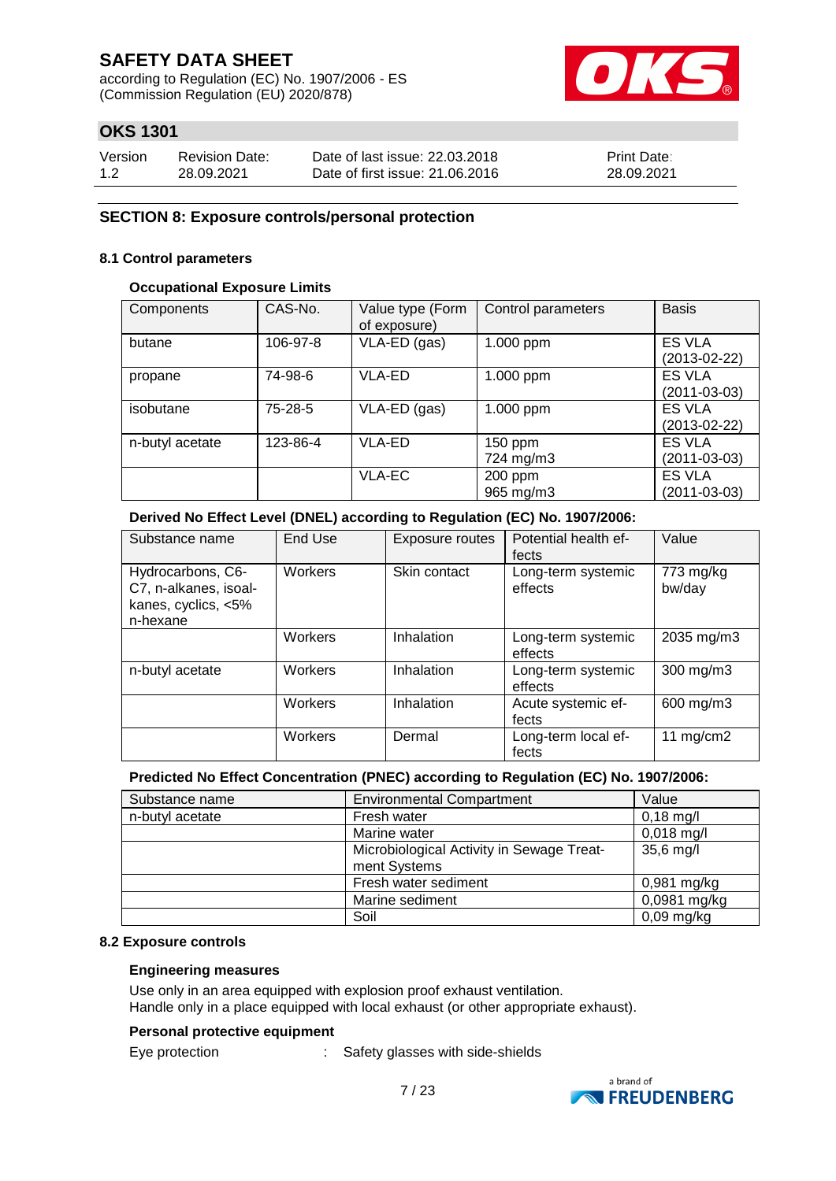according to Regulation (EC) No. 1907/2006 - ES (Commission Regulation (EU) 2020/878)



## **OKS 1301**

| Version | <b>Revision Date:</b> | Date of last issue: 22,03,2018  | <b>Print Date:</b> |
|---------|-----------------------|---------------------------------|--------------------|
| 1.2     | 28.09.2021            | Date of first issue: 21,06,2016 | 28.09.2021         |

### **SECTION 8: Exposure controls/personal protection**

#### **8.1 Control parameters**

#### **Occupational Exposure Limits**

| Components      | CAS-No.   | Value type (Form<br>of exposure) | Control parameters     | <b>Basis</b>                        |
|-----------------|-----------|----------------------------------|------------------------|-------------------------------------|
| butane          | 106-97-8  | VLA-ED (gas)                     | 1.000 ppm              | <b>ES VLA</b><br>$(2013-02-22)$     |
| propane         | 74-98-6   | <b>VLA-ED</b>                    | 1.000 ppm              | <b>ES VLA</b><br>(2011-03-03)       |
| isobutane       | $75-28-5$ | VLA-ED (gas)                     | 1.000 ppm              | <b>ES VLA</b><br>$(2013-02-22)$     |
| n-butyl acetate | 123-86-4  | VLA-ED                           | $150$ ppm<br>724 mg/m3 | <b>ES VLA</b><br>$(2011 - 03 - 03)$ |
|                 |           | <b>VLA-EC</b>                    | 200 ppm<br>965 mg/m3   | ES VLA<br>$(2011 - 03 - 03)$        |

### **Derived No Effect Level (DNEL) according to Regulation (EC) No. 1907/2006:**

| Substance name                                                                | <b>End Use</b> | Exposure routes | Potential health ef-<br>fects | Value               |
|-------------------------------------------------------------------------------|----------------|-----------------|-------------------------------|---------------------|
| Hydrocarbons, C6-<br>C7, n-alkanes, isoal-<br>kanes, cyclics, <5%<br>n-hexane | Workers        | Skin contact    | Long-term systemic<br>effects | 773 mg/kg<br>bw/day |
|                                                                               | Workers        | Inhalation      | Long-term systemic<br>effects | 2035 mg/m3          |
| n-butyl acetate                                                               | Workers        | Inhalation      | Long-term systemic<br>effects | 300 mg/m3           |
|                                                                               | Workers        | Inhalation      | Acute systemic ef-<br>fects   | 600 mg/m3           |
|                                                                               | Workers        | Dermal          | Long-term local ef-<br>fects  | 11 $mg/cm2$         |

### **Predicted No Effect Concentration (PNEC) according to Regulation (EC) No. 1907/2006:**

| Substance name  | <b>Environmental Compartment</b>                       | Value         |
|-----------------|--------------------------------------------------------|---------------|
| n-butyl acetate | Fresh water                                            | $0,18$ mg/l   |
|                 | Marine water                                           | $0,018$ mg/l  |
|                 | Microbiological Activity in Sewage Treat-<br>35,6 mg/l |               |
|                 | ment Systems                                           |               |
|                 | Fresh water sediment                                   | $0,981$ mg/kg |
|                 | Marine sediment                                        | 0,0981 mg/kg  |
|                 | Soil                                                   | $0,09$ mg/kg  |

#### **8.2 Exposure controls**

#### **Engineering measures**

Use only in an area equipped with explosion proof exhaust ventilation. Handle only in a place equipped with local exhaust (or other appropriate exhaust).

#### **Personal protective equipment**

Eye protection : Safety glasses with side-shields

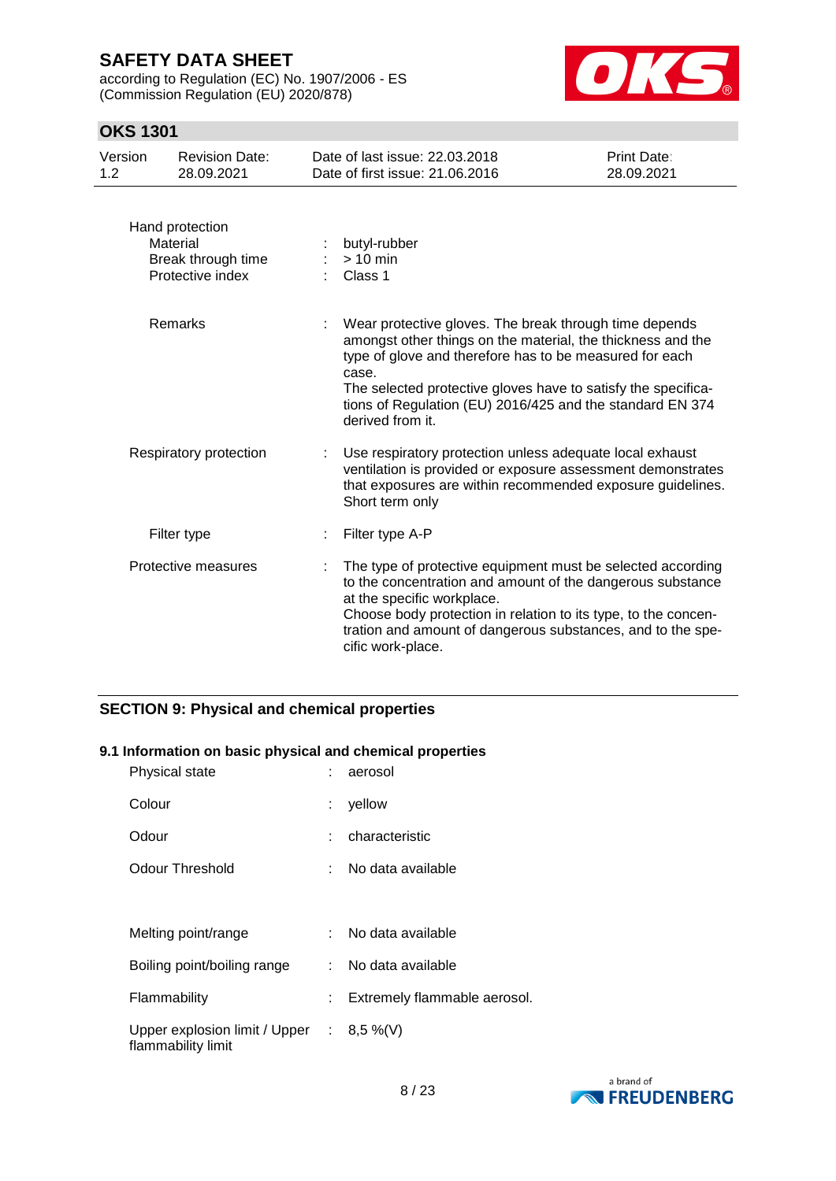according to Regulation (EC) No. 1907/2006 - ES (Commission Regulation (EU) 2020/878)



## **OKS 1301**

| Version<br>1.2 | <b>Revision Date:</b><br>28.09.2021                                   | Date of last issue: 22.03.2018<br>Date of first issue: 21.06.2016                                                                                                                                                                                                                                                                           | Print Date:<br>28.09.2021 |
|----------------|-----------------------------------------------------------------------|---------------------------------------------------------------------------------------------------------------------------------------------------------------------------------------------------------------------------------------------------------------------------------------------------------------------------------------------|---------------------------|
|                | Hand protection<br>Material<br>Break through time<br>Protective index | butyl-rubber<br>$> 10$ min<br>Class 1                                                                                                                                                                                                                                                                                                       |                           |
|                | Remarks                                                               | Wear protective gloves. The break through time depends<br>amongst other things on the material, the thickness and the<br>type of glove and therefore has to be measured for each<br>case.<br>The selected protective gloves have to satisfy the specifica-<br>tions of Regulation (EU) 2016/425 and the standard EN 374<br>derived from it. |                           |
|                | Respiratory protection                                                | Use respiratory protection unless adequate local exhaust<br>ventilation is provided or exposure assessment demonstrates<br>that exposures are within recommended exposure guidelines.<br>Short term only                                                                                                                                    |                           |
|                | Filter type                                                           | Filter type A-P                                                                                                                                                                                                                                                                                                                             |                           |
|                | Protective measures                                                   | The type of protective equipment must be selected according<br>to the concentration and amount of the dangerous substance<br>at the specific workplace.<br>Choose body protection in relation to its type, to the concen-<br>tration and amount of dangerous substances, and to the spe-<br>cific work-place.                               |                           |

## **SECTION 9: Physical and chemical properties**

### **9.1 Information on basic physical and chemical properties**

| Physical state                                                    | aerosol                      |
|-------------------------------------------------------------------|------------------------------|
| Colour                                                            | yellow                       |
| Odour                                                             | characteristic               |
| Odour Threshold                                                   | No data available            |
|                                                                   |                              |
| Melting point/range                                               | No data available            |
| Boiling point/boiling range                                       | : No data available          |
| Flammability                                                      | Extremely flammable aerosol. |
| Upper explosion limit / Upper : $8,5\%$ (V)<br>flammability limit |                              |

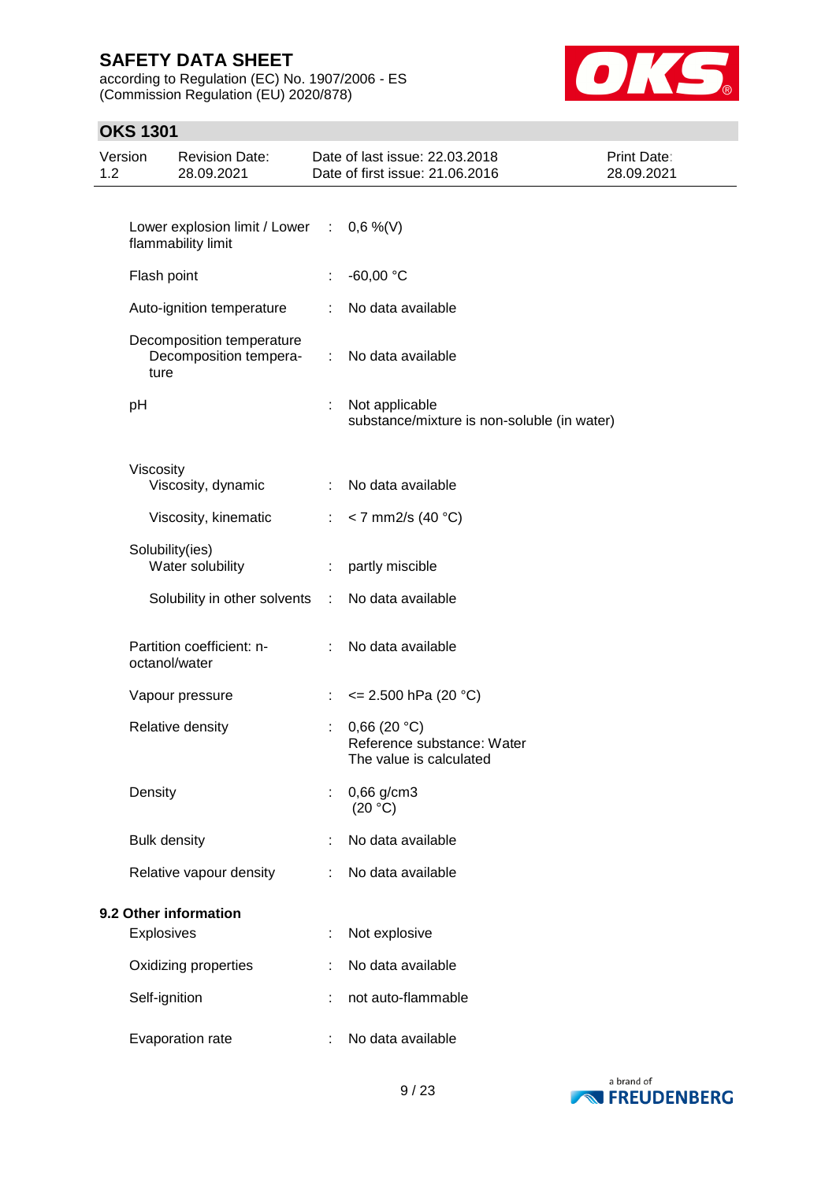according to Regulation (EC) No. 1907/2006 - ES (Commission Regulation (EU) 2020/878)



## **OKS 1301**

| 1.2                   | Version           | <b>Revision Date:</b><br>28.09.2021                               |                               | Date of last issue: 22.03.2018<br>Date of first issue: 21.06.2016    | Print Date:<br>28.09.2021 |
|-----------------------|-------------------|-------------------------------------------------------------------|-------------------------------|----------------------------------------------------------------------|---------------------------|
|                       |                   |                                                                   |                               |                                                                      |                           |
|                       |                   | Lower explosion limit / Lower : $0,6\%$ (V)<br>flammability limit |                               |                                                                      |                           |
|                       | Flash point       |                                                                   | ÷                             | $-60,00 °C$                                                          |                           |
|                       |                   | Auto-ignition temperature                                         | ÷                             | No data available                                                    |                           |
|                       | ture              | Decomposition temperature<br>Decomposition tempera-               | $\mathbb{Z}^{\mathbb{Z}}$     | No data available                                                    |                           |
|                       | pH                |                                                                   | ÷                             | Not applicable<br>substance/mixture is non-soluble (in water)        |                           |
|                       | Viscosity         | Viscosity, dynamic                                                | ÷                             | No data available                                                    |                           |
|                       |                   | Viscosity, kinematic                                              | $\mathcal{L}_{\mathrm{max}}$  | $<$ 7 mm2/s (40 °C)                                                  |                           |
|                       |                   | Solubility(ies)<br>Water solubility                               | ÷                             | partly miscible                                                      |                           |
|                       |                   | Solubility in other solvents :                                    |                               | No data available                                                    |                           |
|                       |                   | Partition coefficient: n-<br>octanol/water                        | $\mathcal{I}^{\mathcal{I}}$ . | No data available                                                    |                           |
|                       |                   | Vapour pressure                                                   | ÷                             | $\leq$ 2.500 hPa (20 °C)                                             |                           |
|                       |                   | Relative density                                                  |                               | 0,66(20 °C)<br>Reference substance: Water<br>The value is calculated |                           |
|                       | Density           |                                                                   | t                             | 0,66 g/cm3<br>(20 °C)                                                |                           |
|                       |                   | <b>Bulk density</b>                                               |                               | No data available                                                    |                           |
|                       |                   | Relative vapour density                                           |                               | No data available                                                    |                           |
| 9.2 Other information |                   |                                                                   |                               |                                                                      |                           |
|                       | <b>Explosives</b> |                                                                   | t                             | Not explosive                                                        |                           |
|                       |                   | Oxidizing properties                                              |                               | No data available                                                    |                           |
|                       |                   | Self-ignition                                                     |                               | not auto-flammable                                                   |                           |
|                       |                   | Evaporation rate                                                  |                               | No data available                                                    |                           |

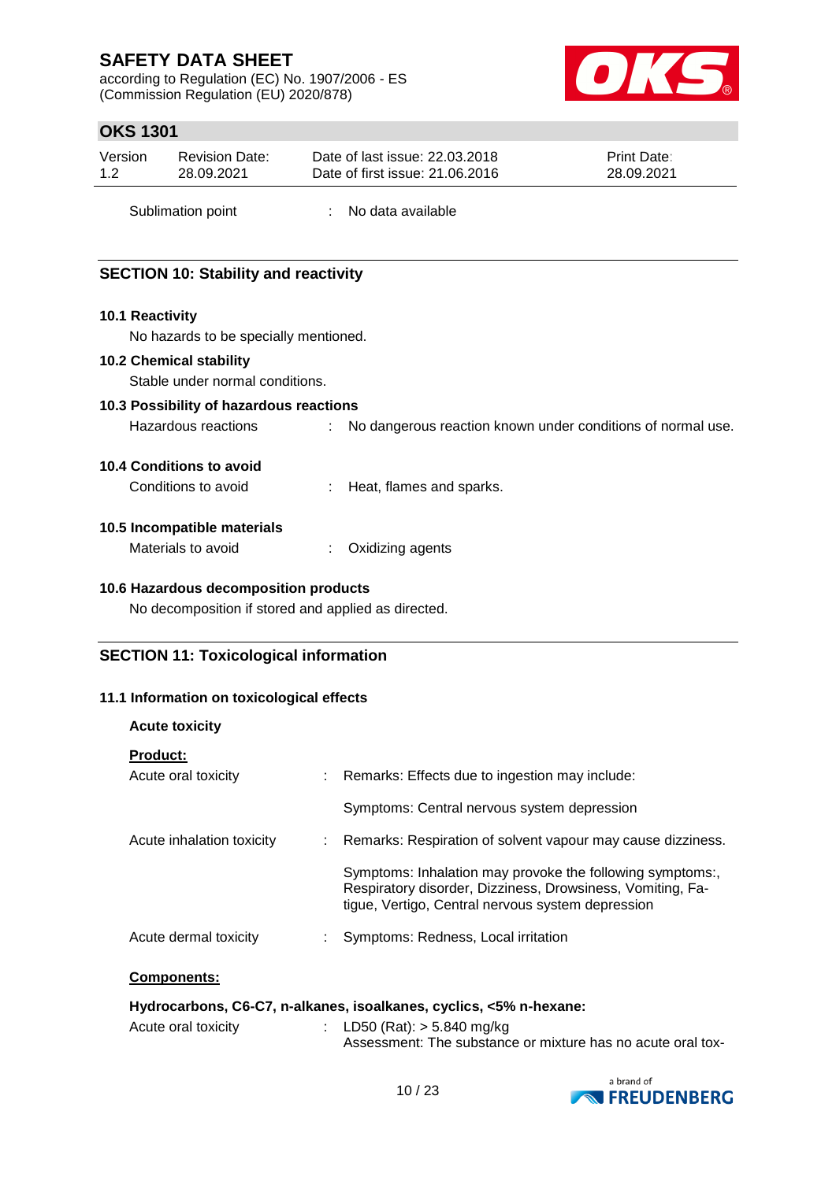according to Regulation (EC) No. 1907/2006 - ES (Commission Regulation (EU) 2020/878)



## **OKS 1301**

| Version | <b>Revision Date:</b> | Date of last issue: 22.03.2018  | <b>Print Date:</b> |
|---------|-----------------------|---------------------------------|--------------------|
| 1.2     | 28.09.2021            | Date of first issue: 21,06,2016 | 28.09.2021         |
|         |                       |                                 |                    |

Sublimation point : No data available

## **SECTION 10: Stability and reactivity**

### **10.1 Reactivity**

No hazards to be specially mentioned.

### **10.2 Chemical stability**

Stable under normal conditions.

### **10.3 Possibility of hazardous reactions**

Hazardous reactions : No dangerous reaction known under conditions of normal use.

### **10.4 Conditions to avoid**

Conditions to avoid : Heat, flames and sparks.

### **10.5 Incompatible materials**

**Acute toxicity**

| Materials to avoid | Oxidizing agents |
|--------------------|------------------|
|--------------------|------------------|

### **10.6 Hazardous decomposition products**

No decomposition if stored and applied as directed.

### **SECTION 11: Toxicological information**

### **11.1 Information on toxicological effects**

| <b>ACULE LOXICILY</b>                                              |  |                                                                                                                                                                              |  |
|--------------------------------------------------------------------|--|------------------------------------------------------------------------------------------------------------------------------------------------------------------------------|--|
| <b>Product:</b>                                                    |  |                                                                                                                                                                              |  |
| Acute oral toxicity                                                |  | : Remarks: Effects due to ingestion may include:                                                                                                                             |  |
|                                                                    |  | Symptoms: Central nervous system depression                                                                                                                                  |  |
| Acute inhalation toxicity                                          |  | : Remarks: Respiration of solvent vapour may cause dizziness.                                                                                                                |  |
|                                                                    |  | Symptoms: Inhalation may provoke the following symptoms:,<br>Respiratory disorder, Dizziness, Drowsiness, Vomiting, Fa-<br>tique, Vertigo, Central nervous system depression |  |
| Acute dermal toxicity                                              |  | Symptoms: Redness, Local irritation                                                                                                                                          |  |
| <b>Components:</b>                                                 |  |                                                                                                                                                                              |  |
| Hydrocarbons, C6-C7, n-alkanes, isoalkanes, cyclics, <5% n-hexane: |  |                                                                                                                                                                              |  |

| Acute oral toxicity | : LD50 (Rat): $>$ 5.840 mg/kg                               |
|---------------------|-------------------------------------------------------------|
|                     | Assessment: The substance or mixture has no acute oral tox- |

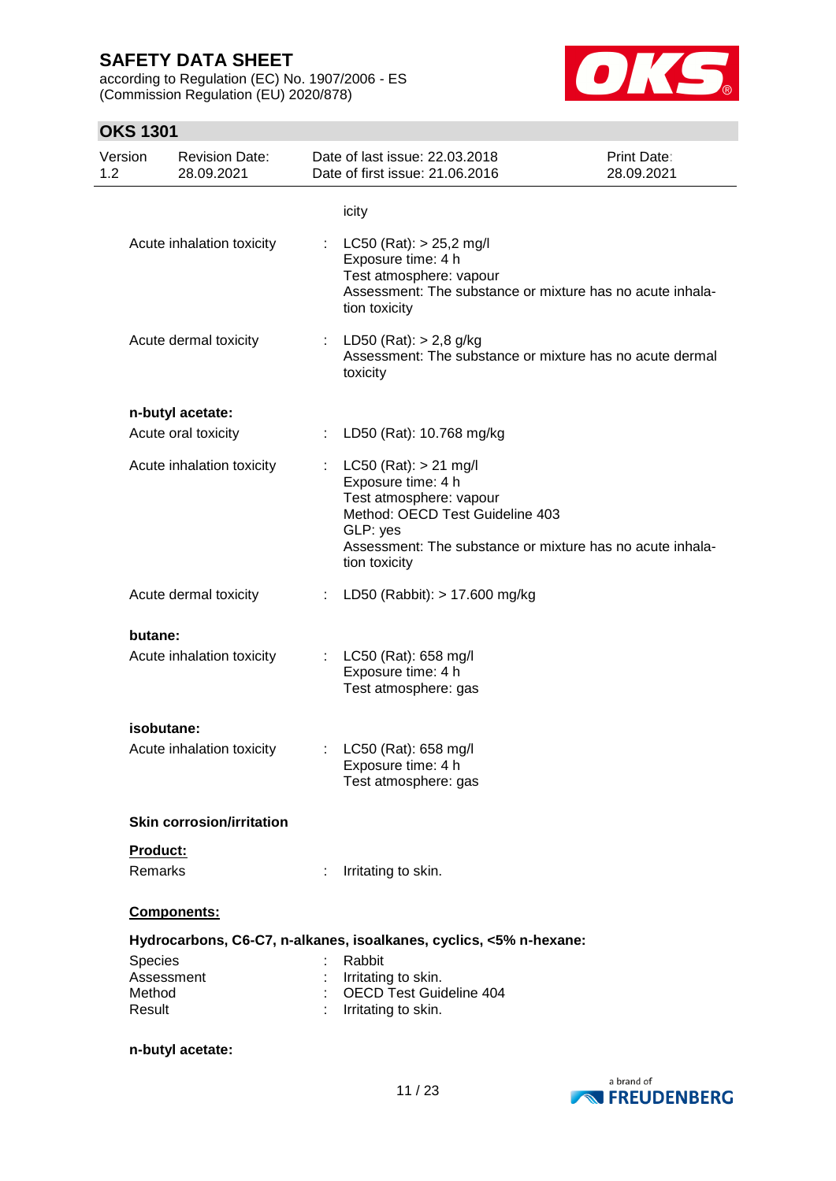according to Regulation (EC) No. 1907/2006 - ES (Commission Regulation (EU) 2020/878)



# **OKS 1301**

| Version<br>1.2   | <b>Revision Date:</b><br>28.09.2021 |    | Date of last issue: 22.03.2018<br>Date of first issue: 21.06.2016                                                                                                                                       | Print Date:<br>28.09.2021 |
|------------------|-------------------------------------|----|---------------------------------------------------------------------------------------------------------------------------------------------------------------------------------------------------------|---------------------------|
|                  |                                     |    | icity                                                                                                                                                                                                   |                           |
|                  | Acute inhalation toxicity           |    | $LC50$ (Rat): $> 25,2$ mg/l<br>Exposure time: 4 h<br>Test atmosphere: vapour<br>Assessment: The substance or mixture has no acute inhala-<br>tion toxicity                                              |                           |
|                  | Acute dermal toxicity               | t. | LD50 (Rat): $> 2,8$ g/kg<br>Assessment: The substance or mixture has no acute dermal<br>toxicity                                                                                                        |                           |
|                  | n-butyl acetate:                    |    |                                                                                                                                                                                                         |                           |
|                  | Acute oral toxicity                 |    | LD50 (Rat): 10.768 mg/kg                                                                                                                                                                                |                           |
|                  | Acute inhalation toxicity           |    | : LC50 (Rat): $> 21$ mg/l<br>Exposure time: 4 h<br>Test atmosphere: vapour<br>Method: OECD Test Guideline 403<br>GLP: yes<br>Assessment: The substance or mixture has no acute inhala-<br>tion toxicity |                           |
|                  | Acute dermal toxicity               | ÷. | LD50 (Rabbit): > 17.600 mg/kg                                                                                                                                                                           |                           |
| butane:          |                                     |    |                                                                                                                                                                                                         |                           |
|                  | Acute inhalation toxicity           |    | : $LC50$ (Rat): 658 mg/l<br>Exposure time: 4 h<br>Test atmosphere: gas                                                                                                                                  |                           |
|                  | isobutane:                          |    |                                                                                                                                                                                                         |                           |
|                  | Acute inhalation toxicity           | ÷. | LC50 (Rat): 658 mg/l<br>Exposure time: 4 h<br>Test atmosphere: gas                                                                                                                                      |                           |
|                  | <b>Skin corrosion/irritation</b>    |    |                                                                                                                                                                                                         |                           |
| Product:         |                                     |    |                                                                                                                                                                                                         |                           |
| Remarks          |                                     |    | Irritating to skin.                                                                                                                                                                                     |                           |
|                  | Components:                         |    |                                                                                                                                                                                                         |                           |
|                  |                                     |    | Hydrocarbons, C6-C7, n-alkanes, isoalkanes, cyclics, <5% n-hexane:                                                                                                                                      |                           |
| Species          | Assessment                          |    | Rabbit<br>Irritating to skin.                                                                                                                                                                           |                           |
| Method<br>Result |                                     |    | <b>OECD Test Guideline 404</b><br>Irritating to skin.                                                                                                                                                   |                           |
|                  | n-butyl acetate:                    |    |                                                                                                                                                                                                         |                           |

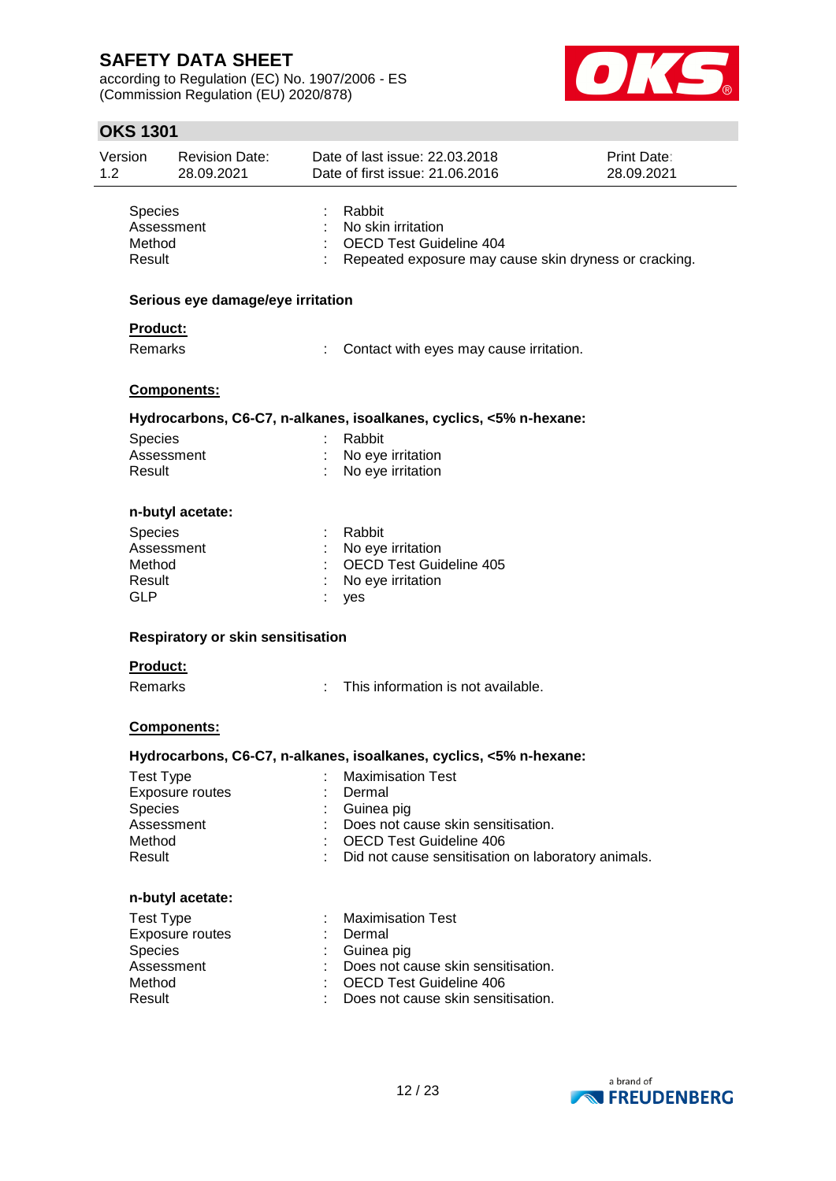according to Regulation (EC) No. 1907/2006 - ES (Commission Regulation (EU) 2020/878)



|                | <b>OKS 1301</b>                                         |                                     |                                                                                                                  |                           |
|----------------|---------------------------------------------------------|-------------------------------------|------------------------------------------------------------------------------------------------------------------|---------------------------|
| Version<br>1.2 |                                                         | <b>Revision Date:</b><br>28.09.2021 | Date of last issue: 22.03.2018<br>Date of first issue: 21.06.2016                                                | Print Date:<br>28.09.2021 |
|                | Species<br>Assessment<br>Method<br>Result               |                                     | Rabbit<br>No skin irritation<br>OECD Test Guideline 404<br>Repeated exposure may cause skin dryness or cracking. |                           |
|                |                                                         | Serious eye damage/eye irritation   |                                                                                                                  |                           |
|                | Product:<br>Remarks                                     |                                     | Contact with eyes may cause irritation.                                                                          |                           |
|                |                                                         | <b>Components:</b>                  |                                                                                                                  |                           |
|                |                                                         |                                     | Hydrocarbons, C6-C7, n-alkanes, isoalkanes, cyclics, <5% n-hexane:                                               |                           |
|                | Species<br>Assessment<br>Result                         |                                     | Rabbit<br>No eye irritation<br>No eye irritation                                                                 |                           |
|                |                                                         | n-butyl acetate:                    |                                                                                                                  |                           |
|                | Species<br>Assessment<br>Method<br>Result<br><b>GLP</b> |                                     | Rabbit<br>No eye irritation<br><b>OECD Test Guideline 405</b><br>No eye irritation<br>yes                        |                           |
|                |                                                         | Respiratory or skin sensitisation   |                                                                                                                  |                           |
|                | <b>Product:</b>                                         |                                     |                                                                                                                  |                           |
|                | Remarks                                                 |                                     | This information is not available.                                                                               |                           |
|                |                                                         |                                     |                                                                                                                  |                           |

### **Components:**

#### **Hydrocarbons, C6-C7, n-alkanes, isoalkanes, cyclics, <5% n-hexane:**

| Test Type<br><b>Exposure routes</b><br><b>Species</b> | <b>Maximisation Test</b><br>Dermal<br>Guinea pig   |
|-------------------------------------------------------|----------------------------------------------------|
| Assessment                                            | Does not cause skin sensitisation.                 |
| Method                                                | <b>OECD Test Guideline 406</b>                     |
| Result                                                | Did not cause sensitisation on laboratory animals. |
| n-butyl acetate:                                      |                                                    |
| Test Type                                             | <b>Maximisation Test</b>                           |
| <b>Exposure routes</b>                                | Dermal                                             |
| <b>Species</b>                                        | Guinea pig                                         |
| Assessment                                            | Does not cause skin sensitisation.                 |
| Method                                                | OECD Test Guideline 406                            |

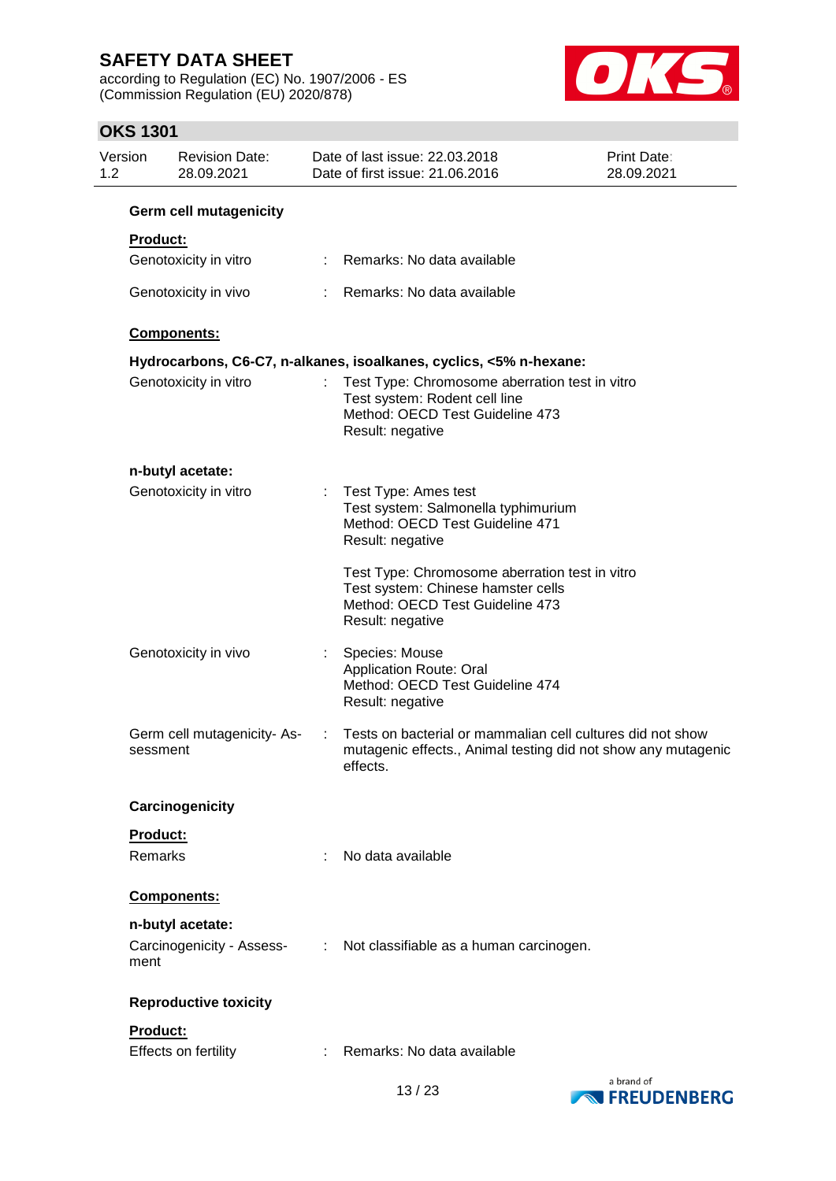according to Regulation (EC) No. 1907/2006 - ES (Commission Regulation (EU) 2020/878)



## **OKS 1301**

| Version<br>1.2 |                 | <b>Revision Date:</b><br>28.09.2021           |    | Date of last issue: 22.03.2018<br>Date of first issue: 21.06.2016                                                                           | Print Date:<br>28.09.2021 |
|----------------|-----------------|-----------------------------------------------|----|---------------------------------------------------------------------------------------------------------------------------------------------|---------------------------|
|                |                 | Germ cell mutagenicity                        |    |                                                                                                                                             |                           |
|                | <b>Product:</b> |                                               |    |                                                                                                                                             |                           |
|                |                 | Genotoxicity in vitro                         |    | Remarks: No data available                                                                                                                  |                           |
|                |                 | Genotoxicity in vivo                          |    | Remarks: No data available                                                                                                                  |                           |
|                |                 | Components:                                   |    |                                                                                                                                             |                           |
|                |                 |                                               |    | Hydrocarbons, C6-C7, n-alkanes, isoalkanes, cyclics, <5% n-hexane:                                                                          |                           |
|                |                 | Genotoxicity in vitro                         |    | Test Type: Chromosome aberration test in vitro<br>Test system: Rodent cell line<br>Method: OECD Test Guideline 473<br>Result: negative      |                           |
|                |                 | n-butyl acetate:                              |    |                                                                                                                                             |                           |
|                |                 | Genotoxicity in vitro                         | ÷. | Test Type: Ames test<br>Test system: Salmonella typhimurium<br>Method: OECD Test Guideline 471<br>Result: negative                          |                           |
|                |                 |                                               |    | Test Type: Chromosome aberration test in vitro<br>Test system: Chinese hamster cells<br>Method: OECD Test Guideline 473<br>Result: negative |                           |
|                |                 | Genotoxicity in vivo                          | ÷. | Species: Mouse<br><b>Application Route: Oral</b><br>Method: OECD Test Guideline 474<br>Result: negative                                     |                           |
|                | sessment        | Germ cell mutagenicity-As-                    |    | Tests on bacterial or mammalian cell cultures did not show<br>mutagenic effects., Animal testing did not show any mutagenic<br>effects.     |                           |
|                |                 | Carcinogenicity                               |    |                                                                                                                                             |                           |
|                | Product:        |                                               |    |                                                                                                                                             |                           |
|                | Remarks         |                                               |    | No data available                                                                                                                           |                           |
|                |                 | Components:                                   |    |                                                                                                                                             |                           |
|                | ment            | n-butyl acetate:<br>Carcinogenicity - Assess- | ÷  | Not classifiable as a human carcinogen.                                                                                                     |                           |
|                |                 | <b>Reproductive toxicity</b>                  |    |                                                                                                                                             |                           |
|                | <b>Product:</b> |                                               |    |                                                                                                                                             |                           |
|                |                 | Effects on fertility                          |    | Remarks: No data available                                                                                                                  |                           |

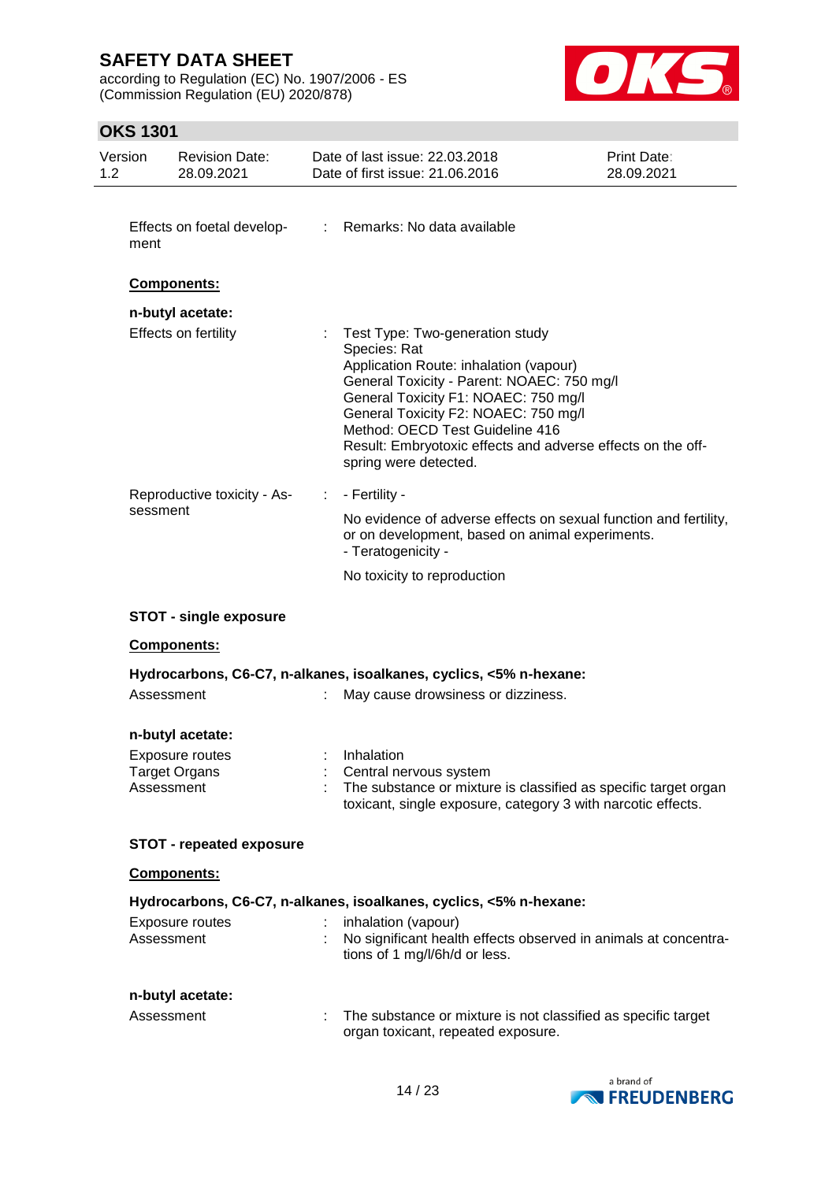according to Regulation (EC) No. 1907/2006 - ES (Commission Regulation (EU) 2020/878)



## **OKS 1301**

| Version<br>1.2 | <b>Revision Date:</b><br>28.09.2021                                |   | Date of last issue: 22.03.2018<br>Date of first issue: 21.06.2016                                                                                                                                                                                                                                                                                  | <b>Print Date:</b><br>28.09.2021 |
|----------------|--------------------------------------------------------------------|---|----------------------------------------------------------------------------------------------------------------------------------------------------------------------------------------------------------------------------------------------------------------------------------------------------------------------------------------------------|----------------------------------|
| ment           | Effects on foetal develop-                                         |   | : Remarks: No data available                                                                                                                                                                                                                                                                                                                       |                                  |
|                | <b>Components:</b>                                                 |   |                                                                                                                                                                                                                                                                                                                                                    |                                  |
|                | n-butyl acetate:<br>Effects on fertility                           |   | Test Type: Two-generation study<br>Species: Rat<br>Application Route: inhalation (vapour)<br>General Toxicity - Parent: NOAEC: 750 mg/l<br>General Toxicity F1: NOAEC: 750 mg/l<br>General Toxicity F2: NOAEC: 750 mg/l<br>Method: OECD Test Guideline 416<br>Result: Embryotoxic effects and adverse effects on the off-<br>spring were detected. |                                  |
| sessment       | Reproductive toxicity - As-                                        | ÷ | - Fertility -<br>No evidence of adverse effects on sexual function and fertility,<br>or on development, based on animal experiments.<br>- Teratogenicity -                                                                                                                                                                                         |                                  |
|                |                                                                    |   | No toxicity to reproduction                                                                                                                                                                                                                                                                                                                        |                                  |
|                | <b>STOT - single exposure</b>                                      |   |                                                                                                                                                                                                                                                                                                                                                    |                                  |
|                | <b>Components:</b>                                                 |   |                                                                                                                                                                                                                                                                                                                                                    |                                  |
|                |                                                                    |   | Hydrocarbons, C6-C7, n-alkanes, isoalkanes, cyclics, <5% n-hexane:                                                                                                                                                                                                                                                                                 |                                  |
| Assessment     |                                                                    |   | May cause drowsiness or dizziness.                                                                                                                                                                                                                                                                                                                 |                                  |
| Assessment     | n-butyl acetate:<br><b>Exposure routes</b><br><b>Target Organs</b> |   | Inhalation<br>Central nervous system<br>The substance or mixture is classified as specific target organ<br>toxicant, single exposure, category 3 with narcotic effects.                                                                                                                                                                            |                                  |
|                | <b>STOT - repeated exposure</b>                                    |   |                                                                                                                                                                                                                                                                                                                                                    |                                  |
|                | Components:                                                        |   |                                                                                                                                                                                                                                                                                                                                                    |                                  |
|                |                                                                    |   | Hydrocarbons, C6-C7, n-alkanes, isoalkanes, cyclics, <5% n-hexane:                                                                                                                                                                                                                                                                                 |                                  |
| Assessment     | Exposure routes                                                    |   | inhalation (vapour)<br>No significant health effects observed in animals at concentra-<br>tions of 1 mg/l/6h/d or less.                                                                                                                                                                                                                            |                                  |
|                | n-butyl acetate:                                                   |   |                                                                                                                                                                                                                                                                                                                                                    |                                  |
| Assessment     |                                                                    | ÷ | The substance or mixture is not classified as specific target<br>organ toxicant, repeated exposure.                                                                                                                                                                                                                                                |                                  |

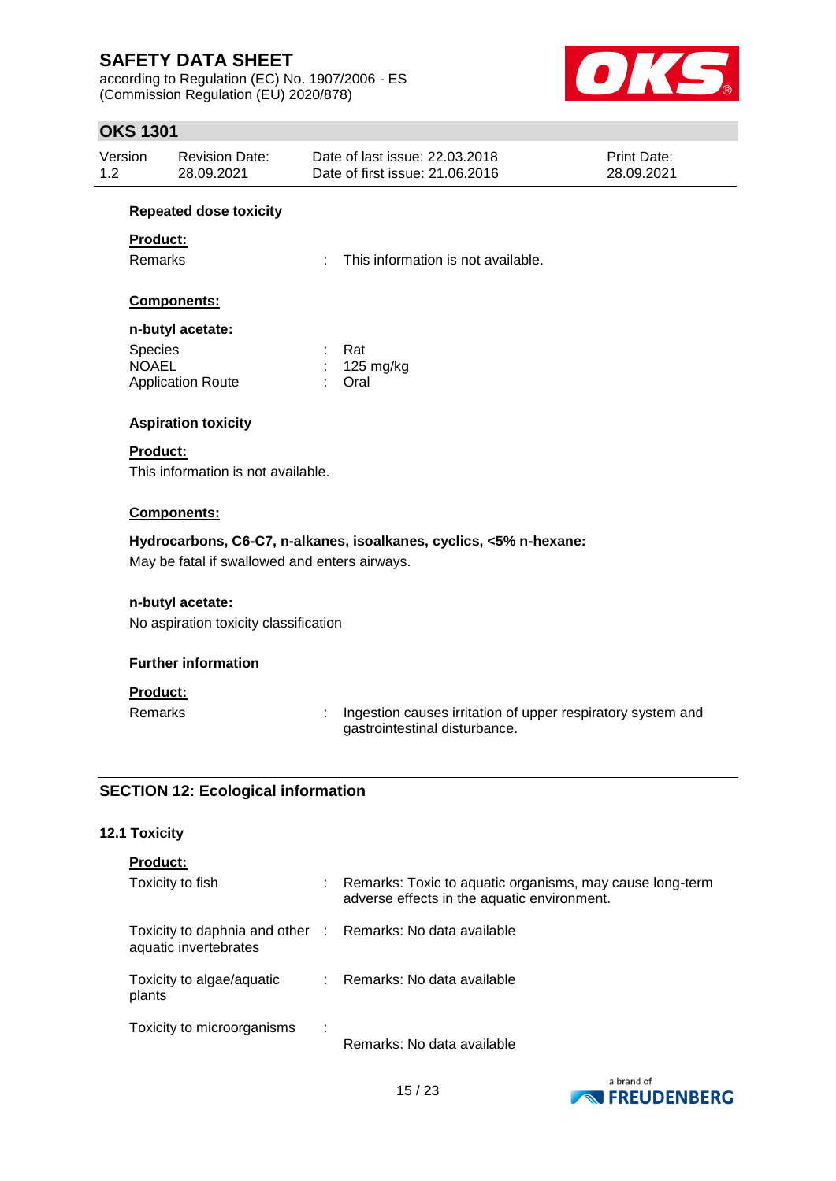according to Regulation (EC) No. 1907/2006 - ES (Commission Regulation (EU) 2020/878)



## **OKS 1301**

| Version | Revision Date: | Date of last issue: 22.03.2018  | <b>Print Date:</b> |
|---------|----------------|---------------------------------|--------------------|
| 1.2     | 28.09.2021     | Date of first issue: 21.06.2016 | 28.09.2021         |

#### **Repeated dose toxicity**

### **Product:**

Remarks : This information is not available.

### **Components:**

#### **n-butyl acetate:**

| <b>Species</b>           | : Rat                 |
|--------------------------|-----------------------|
| <b>NOAEL</b>             | $: 125 \text{ mg/kg}$ |
| <b>Application Route</b> | : Oral                |

### **Aspiration toxicity**

### **Product:**

This information is not available.

### **Components:**

### **Hydrocarbons, C6-C7, n-alkanes, isoalkanes, cyclics, <5% n-hexane:**

May be fatal if swallowed and enters airways.

### **n-butyl acetate:**

No aspiration toxicity classification

### **Further information**

### **Product:**

Remarks : Ingestion causes irritation of upper respiratory system and gastrointestinal disturbance.

### **SECTION 12: Ecological information**

### **12.1 Toxicity**

|  | <b>Product:</b> |
|--|-----------------|
|  |                 |

| Toxicity to fish                                                                    |      | Remarks: Toxic to aquatic organisms, may cause long-term<br>adverse effects in the aquatic environment. |
|-------------------------------------------------------------------------------------|------|---------------------------------------------------------------------------------------------------------|
| Toxicity to daphnia and other : Remarks: No data available<br>aquatic invertebrates |      |                                                                                                         |
| Toxicity to algae/aquatic<br>plants                                                 |      | Remarks: No data available                                                                              |
| Toxicity to microorganisms                                                          | - 11 | Remarks: No data available                                                                              |

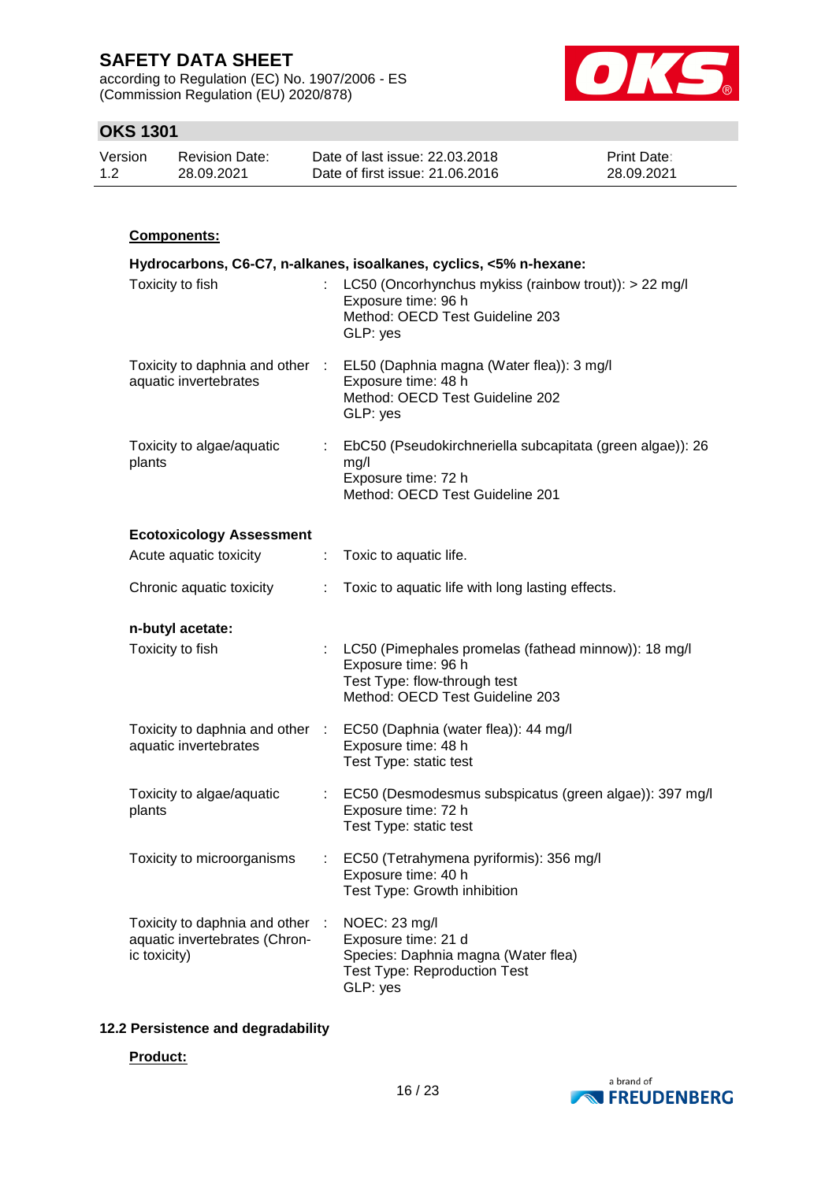according to Regulation (EC) No. 1907/2006 - ES (Commission Regulation (EU) 2020/878)



## **OKS 1301**

| Version | <b>Revision Date:</b> | Date of last issue: 22.03.2018  | <b>Print Date:</b> |
|---------|-----------------------|---------------------------------|--------------------|
| 1.2     | 28.09.2021            | Date of first issue: 21,06,2016 | 28.09.2021         |

### **Components:**

|                                                                                |                           | Hydrocarbons, C6-C7, n-alkanes, isoalkanes, cyclics, <5% n-hexane:                                                                               |
|--------------------------------------------------------------------------------|---------------------------|--------------------------------------------------------------------------------------------------------------------------------------------------|
| Toxicity to fish                                                               | $\mathbb{R}^{\mathbb{Z}}$ | LC50 (Oncorhynchus mykiss (rainbow trout)): > 22 mg/l<br>Exposure time: 96 h<br>Method: OECD Test Guideline 203<br>GLP: yes                      |
| aquatic invertebrates                                                          |                           | Toxicity to daphnia and other : EL50 (Daphnia magna (Water flea)): 3 mg/l<br>Exposure time: 48 h<br>Method: OECD Test Guideline 202<br>GLP: yes  |
| Toxicity to algae/aquatic<br>plants                                            |                           | EbC50 (Pseudokirchneriella subcapitata (green algae)): 26<br>mg/l<br>Exposure time: 72 h<br>Method: OECD Test Guideline 201                      |
| <b>Ecotoxicology Assessment</b>                                                |                           |                                                                                                                                                  |
| Acute aquatic toxicity                                                         |                           | Toxic to aquatic life.                                                                                                                           |
| Chronic aquatic toxicity                                                       | ÷                         | Toxic to aquatic life with long lasting effects.                                                                                                 |
| n-butyl acetate:                                                               |                           |                                                                                                                                                  |
| Toxicity to fish                                                               |                           | : LC50 (Pimephales promelas (fathead minnow)): 18 mg/l<br>Exposure time: 96 h<br>Test Type: flow-through test<br>Method: OECD Test Guideline 203 |
| Toxicity to daphnia and other :<br>aquatic invertebrates                       |                           | EC50 (Daphnia (water flea)): 44 mg/l<br>Exposure time: 48 h<br>Test Type: static test                                                            |
| Toxicity to algae/aquatic<br>plants                                            |                           | : EC50 (Desmodesmus subspicatus (green algae)): 397 mg/l<br>Exposure time: 72 h<br>Test Type: static test                                        |
| Toxicity to microorganisms                                                     |                           | EC50 (Tetrahymena pyriformis): 356 mg/l<br>Exposure time: 40 h<br>Test Type: Growth inhibition                                                   |
| Toxicity to daphnia and other<br>aquatic invertebrates (Chron-<br>ic toxicity) |                           | NOEC: 23 mg/l<br>Exposure time: 21 d<br>Species: Daphnia magna (Water flea)<br><b>Test Type: Reproduction Test</b><br>GLP: yes                   |

### **12.2 Persistence and degradability**

#### **Product:**

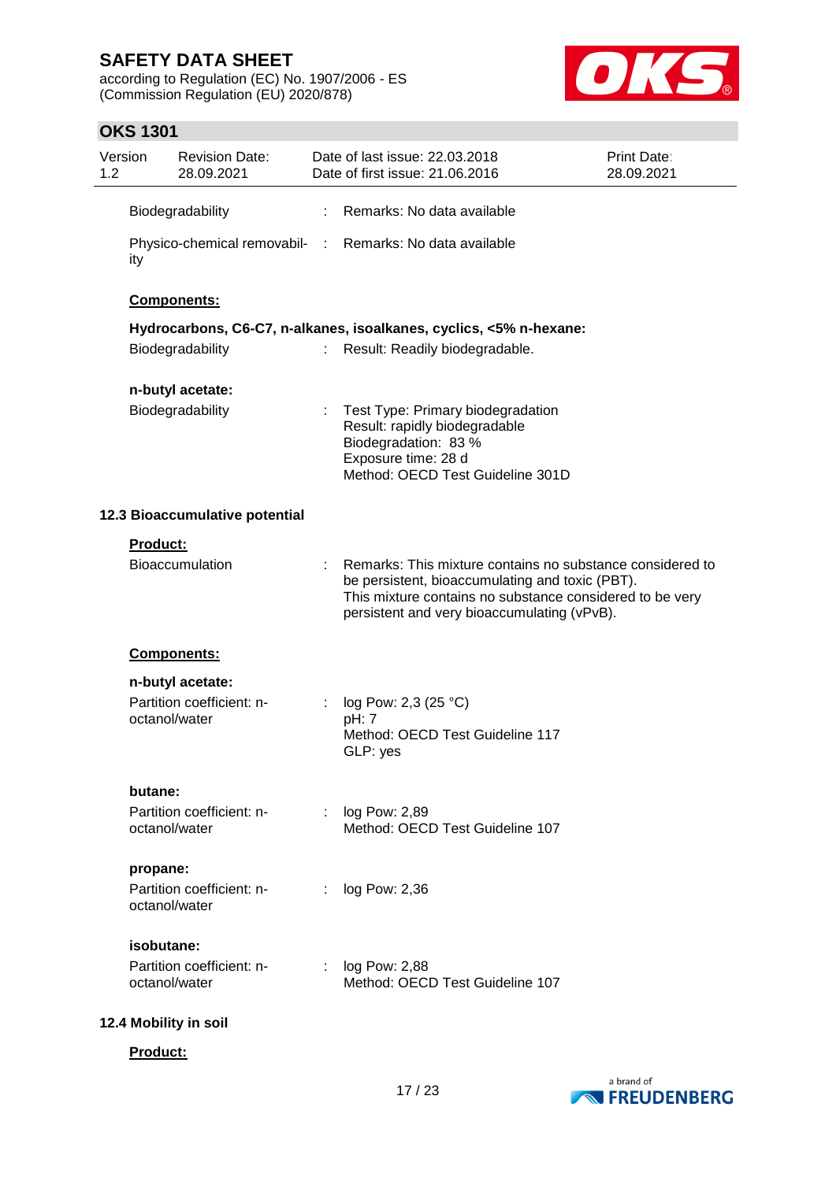according to Regulation (EC) No. 1907/2006 - ES (Commission Regulation (EU) 2020/878)



## **OKS 1301**

| 1.2 | Version         | <b>Revision Date:</b><br>28.09.2021        |   | Date of last issue: 22.03.2018<br>Date of first issue: 21.06.2016                                                                                                                                                       | Print Date:<br>28.09.2021 |
|-----|-----------------|--------------------------------------------|---|-------------------------------------------------------------------------------------------------------------------------------------------------------------------------------------------------------------------------|---------------------------|
|     |                 | Biodegradability                           | ÷ | Remarks: No data available                                                                                                                                                                                              |                           |
|     | ity             |                                            |   | Physico-chemical removabil- : Remarks: No data available                                                                                                                                                                |                           |
|     |                 | Components:                                |   |                                                                                                                                                                                                                         |                           |
|     |                 |                                            |   | Hydrocarbons, C6-C7, n-alkanes, isoalkanes, cyclics, <5% n-hexane:                                                                                                                                                      |                           |
|     |                 | Biodegradability                           |   | Result: Readily biodegradable.                                                                                                                                                                                          |                           |
|     |                 | n-butyl acetate:                           |   |                                                                                                                                                                                                                         |                           |
|     |                 | Biodegradability                           |   | Test Type: Primary biodegradation<br>Result: rapidly biodegradable<br>Biodegradation: 83 %<br>Exposure time: 28 d<br>Method: OECD Test Guideline 301D                                                                   |                           |
|     |                 | 12.3 Bioaccumulative potential             |   |                                                                                                                                                                                                                         |                           |
|     | <b>Product:</b> |                                            |   |                                                                                                                                                                                                                         |                           |
|     |                 | Bioaccumulation                            |   | Remarks: This mixture contains no substance considered to<br>be persistent, bioaccumulating and toxic (PBT).<br>This mixture contains no substance considered to be very<br>persistent and very bioaccumulating (vPvB). |                           |
|     |                 | Components:                                |   |                                                                                                                                                                                                                         |                           |
|     |                 | n-butyl acetate:                           |   |                                                                                                                                                                                                                         |                           |
|     |                 | Partition coefficient: n-<br>octanol/water |   | log Pow: 2,3 (25 °C)<br>pH: 7<br>Method: OECD Test Guideline 117<br>GLP: yes                                                                                                                                            |                           |
|     | butane:         |                                            |   |                                                                                                                                                                                                                         |                           |
|     |                 | Partition coefficient: n-<br>octanol/water |   | : log Pow: 2,89<br>Method: OECD Test Guideline 107                                                                                                                                                                      |                           |
|     | propane:        |                                            |   |                                                                                                                                                                                                                         |                           |
|     |                 | Partition coefficient: n-<br>octanol/water |   | log Pow: 2,36                                                                                                                                                                                                           |                           |
|     |                 | isobutane:                                 |   |                                                                                                                                                                                                                         |                           |
|     |                 | Partition coefficient: n-<br>octanol/water |   | log Pow: 2,88<br>Method: OECD Test Guideline 107                                                                                                                                                                        |                           |
|     |                 | 12.4 Mobility in soil                      |   |                                                                                                                                                                                                                         |                           |

**Product:**

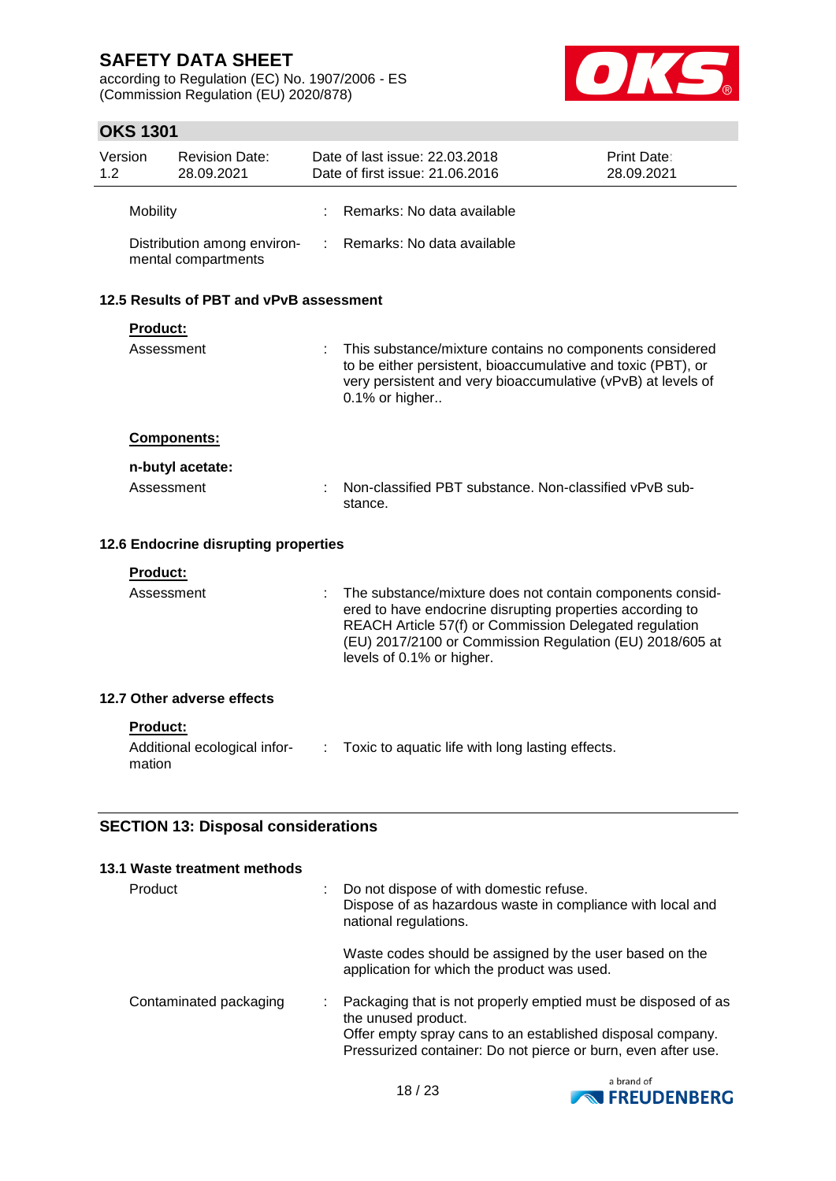according to Regulation (EC) No. 1907/2006 - ES (Commission Regulation (EU) 2020/878)



## **OKS 1301**

| 1.2                                        | Version                              | <b>Revision Date:</b><br>28.09.2021                |   | Date of last issue: 22.03.2018<br>Date of first issue: 21.06.2016                                                                                                                                                                                                         | <b>Print Date:</b><br>28.09.2021 |  |  |  |
|--------------------------------------------|--------------------------------------|----------------------------------------------------|---|---------------------------------------------------------------------------------------------------------------------------------------------------------------------------------------------------------------------------------------------------------------------------|----------------------------------|--|--|--|
|                                            | Mobility                             |                                                    |   | Remarks: No data available                                                                                                                                                                                                                                                |                                  |  |  |  |
|                                            |                                      | Distribution among environ-<br>mental compartments | ÷ | Remarks: No data available                                                                                                                                                                                                                                                |                                  |  |  |  |
|                                            |                                      | 12.5 Results of PBT and vPvB assessment            |   |                                                                                                                                                                                                                                                                           |                                  |  |  |  |
|                                            | Product:                             |                                                    |   |                                                                                                                                                                                                                                                                           |                                  |  |  |  |
|                                            | Assessment                           |                                                    |   | This substance/mixture contains no components considered<br>to be either persistent, bioaccumulative and toxic (PBT), or<br>very persistent and very bioaccumulative (vPvB) at levels of<br>0.1% or higher                                                                |                                  |  |  |  |
|                                            |                                      | Components:                                        |   |                                                                                                                                                                                                                                                                           |                                  |  |  |  |
|                                            |                                      | n-butyl acetate:                                   |   |                                                                                                                                                                                                                                                                           |                                  |  |  |  |
|                                            | Assessment                           |                                                    |   | Non-classified PBT substance. Non-classified vPvB sub-<br>stance.                                                                                                                                                                                                         |                                  |  |  |  |
|                                            | 12.6 Endocrine disrupting properties |                                                    |   |                                                                                                                                                                                                                                                                           |                                  |  |  |  |
|                                            | <b>Product:</b>                      |                                                    |   |                                                                                                                                                                                                                                                                           |                                  |  |  |  |
|                                            | Assessment                           |                                                    |   | The substance/mixture does not contain components consid-<br>ered to have endocrine disrupting properties according to<br>REACH Article 57(f) or Commission Delegated regulation<br>(EU) 2017/2100 or Commission Regulation (EU) 2018/605 at<br>levels of 0.1% or higher. |                                  |  |  |  |
|                                            |                                      | 12.7 Other adverse effects                         |   |                                                                                                                                                                                                                                                                           |                                  |  |  |  |
|                                            | <b>Product:</b><br>mation            | Additional ecological infor-                       | ÷ | Toxic to aquatic life with long lasting effects.                                                                                                                                                                                                                          |                                  |  |  |  |
| <b>SECTION 13: Disposal considerations</b> |                                      |                                                    |   |                                                                                                                                                                                                                                                                           |                                  |  |  |  |
|                                            |                                      | 13.1 Waste treatment methods                       |   |                                                                                                                                                                                                                                                                           |                                  |  |  |  |
|                                            | Product                              |                                                    |   | Do not dispose of with domestic refuse.<br>Dispose of as hazardous waste in compliance with local and<br>national regulations.                                                                                                                                            |                                  |  |  |  |

Waste codes should be assigned by the user based on the application for which the product was used.

| Offer empty spray cans to an established disposal company.<br>Pressurized container: Do not pierce or burn, even after use. | Contaminated packaging |  | : Packaging that is not properly emptied must be disposed of as<br>the unused product. |
|-----------------------------------------------------------------------------------------------------------------------------|------------------------|--|----------------------------------------------------------------------------------------|
|-----------------------------------------------------------------------------------------------------------------------------|------------------------|--|----------------------------------------------------------------------------------------|

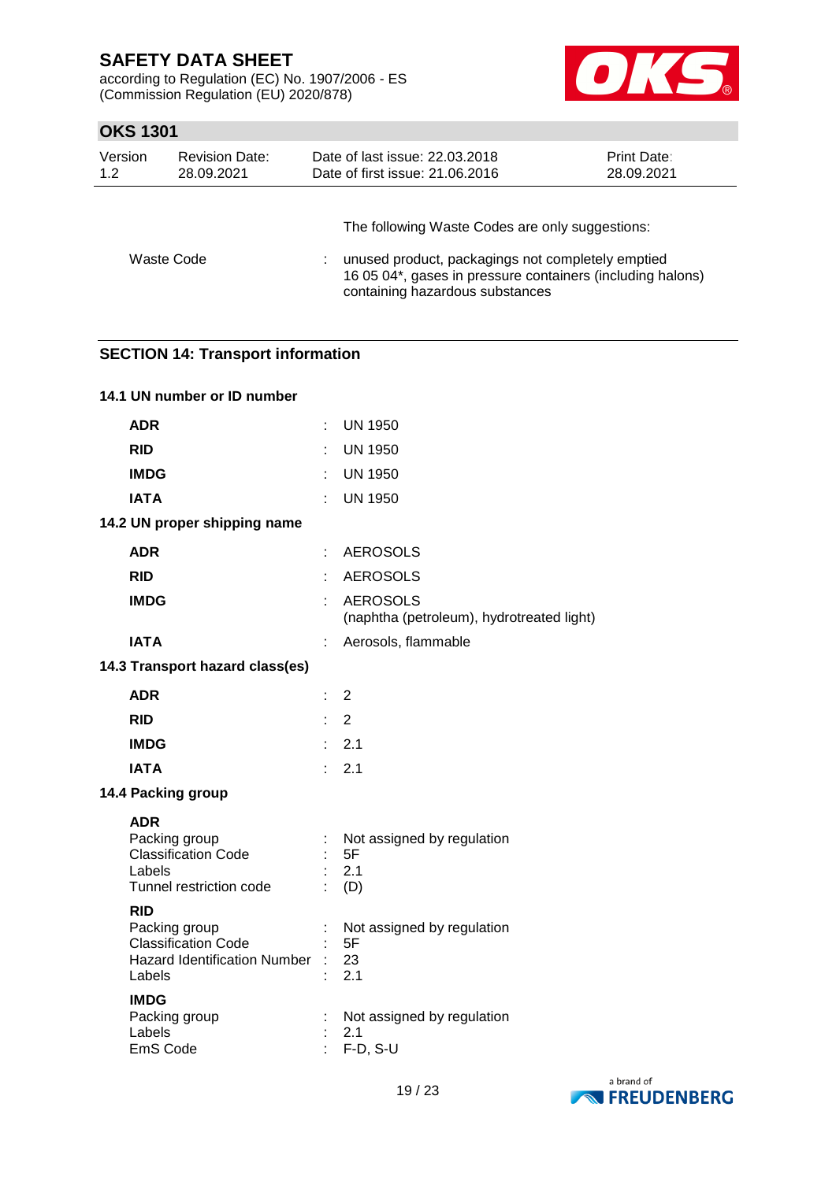according to Regulation (EC) No. 1907/2006 - ES (Commission Regulation (EU) 2020/878)



## **OKS 1301**

| Version<br><b>Revision Date:</b><br>1.2<br>28.09.2021 |  | Date of last issue: 22.03.2018<br>Date of first issue: 21.06.2016 |                                                                                                                                                                    | <b>Print Date:</b><br>28.09.2021 |
|-------------------------------------------------------|--|-------------------------------------------------------------------|--------------------------------------------------------------------------------------------------------------------------------------------------------------------|----------------------------------|
| Waste Code                                            |  | containing hazardous substances                                   | The following Waste Codes are only suggestions:<br>unused product, packagings not completely emptied<br>16 05 04*, gases in pressure containers (including halons) |                                  |

## **SECTION 14: Transport information**

| 14.1 UN number or ID number                                                                                |        |                                                              |
|------------------------------------------------------------------------------------------------------------|--------|--------------------------------------------------------------|
| <b>ADR</b>                                                                                                 | ÷      | UN 1950                                                      |
| <b>RID</b>                                                                                                 | ł.     | <b>UN 1950</b>                                               |
| <b>IMDG</b>                                                                                                |        | <b>UN 1950</b>                                               |
| <b>IATA</b>                                                                                                |        | <b>UN 1950</b>                                               |
| 14.2 UN proper shipping name                                                                               |        |                                                              |
| <b>ADR</b>                                                                                                 | ÷      | <b>AEROSOLS</b>                                              |
| <b>RID</b>                                                                                                 | ÷      | <b>AEROSOLS</b>                                              |
| <b>IMDG</b>                                                                                                | ÷.     | <b>AEROSOLS</b><br>(naphtha (petroleum), hydrotreated light) |
| <b>IATA</b>                                                                                                | t      | Aerosols, flammable                                          |
| 14.3 Transport hazard class(es)                                                                            |        |                                                              |
| <b>ADR</b>                                                                                                 | ÷.     | $\overline{2}$                                               |
| <b>RID</b>                                                                                                 | t.     | $\overline{2}$                                               |
| <b>IMDG</b>                                                                                                |        | 2.1                                                          |
| <b>IATA</b>                                                                                                | $\sim$ | 2.1                                                          |
| 14.4 Packing group                                                                                         |        |                                                              |
| <b>ADR</b><br>Packing group<br><b>Classification Code</b><br>Labels<br>Tunnel restriction code             |        | Not assigned by regulation<br>5F<br>2.1<br>(D)               |
| <b>RID</b><br>Packing group<br><b>Classification Code</b><br><b>Hazard Identification Number</b><br>Labels |        | Not assigned by regulation<br>5F<br>23<br>2.1                |
| <b>IMDG</b><br>Packing group<br>Labels<br>EmS Code                                                         |        | Not assigned by regulation<br>2.1<br>$F-D, S-U$              |

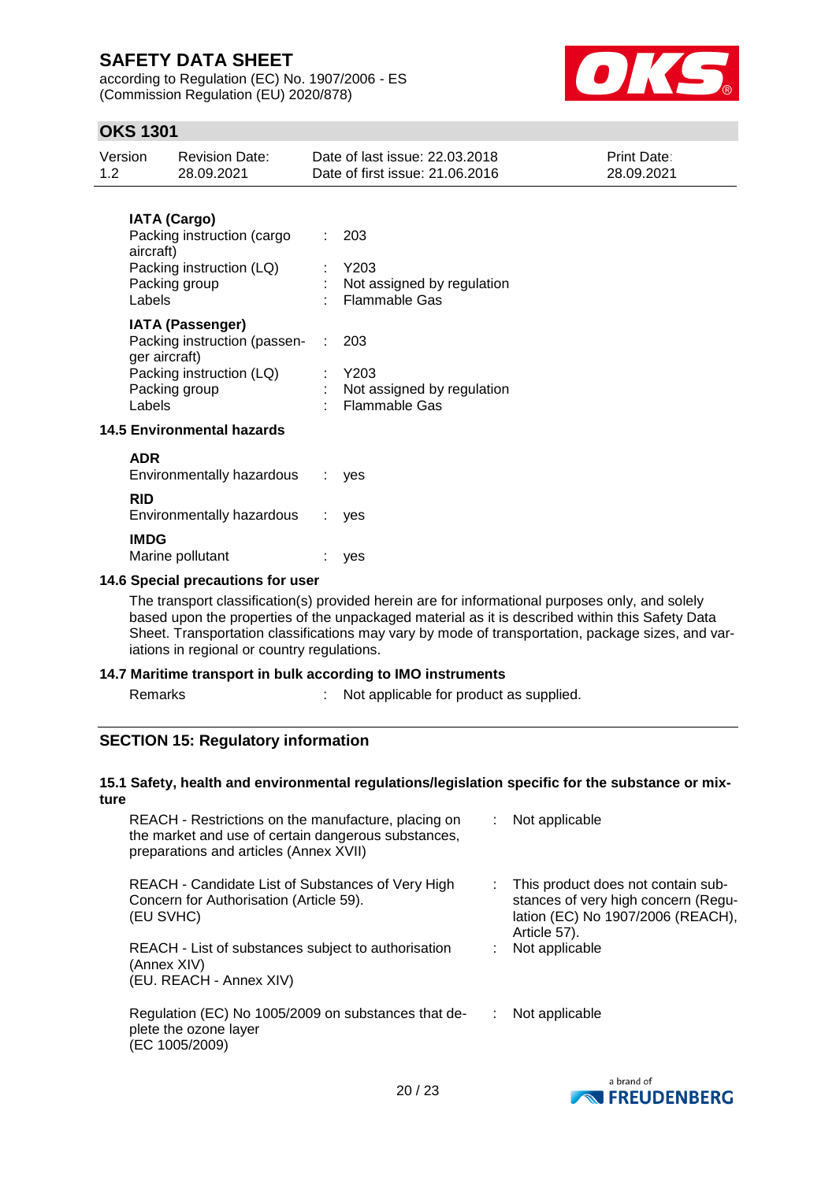according to Regulation (EC) No. 1907/2006 - ES (Commission Regulation (EU) 2020/878)



## **OKS 1301**

| Version<br>1.2 | <b>Revision Date:</b><br>28.09.2021                                                                                               | Date of last issue: 22.03.2018<br>Date of first issue: 21.06.2016       | Print Date:<br>28.09.2021 |
|----------------|-----------------------------------------------------------------------------------------------------------------------------------|-------------------------------------------------------------------------|---------------------------|
|                | <b>IATA (Cargo)</b><br>Packing instruction (cargo<br>aircraft)<br>Packing instruction (LQ)<br>Packing group<br>Labels             | 203<br>$:$ Y203<br>: Not assigned by regulation<br><b>Flammable Gas</b> |                           |
|                | <b>IATA (Passenger)</b><br>Packing instruction (passen- :<br>ger aircraft)<br>Packing instruction (LQ)<br>Packing group<br>Labels | 203<br>$:$ Y203<br>: Not assigned by regulation<br>: Flammable Gas      |                           |
|                | <b>14.5 Environmental hazards</b>                                                                                                 |                                                                         |                           |
| <b>ADR</b>     | Environmentally hazardous                                                                                                         | yes                                                                     |                           |
| <b>RID</b>     | Environmentally hazardous                                                                                                         | yes                                                                     |                           |
| <b>IMDG</b>    | Marine pollutant                                                                                                                  | yes                                                                     |                           |

#### **14.6 Special precautions for user**

The transport classification(s) provided herein are for informational purposes only, and solely based upon the properties of the unpackaged material as it is described within this Safety Data Sheet. Transportation classifications may vary by mode of transportation, package sizes, and variations in regional or country regulations.

#### **14.7 Maritime transport in bulk according to IMO instruments**

Remarks : Not applicable for product as supplied.

### **SECTION 15: Regulatory information**

#### **15.1 Safety, health and environmental regulations/legislation specific for the substance or mixture**

| REACH - Restrictions on the manufacture, placing on<br>the market and use of certain dangerous substances,<br>preparations and articles (Annex XVII) | : Not applicable                                                                                                               |
|------------------------------------------------------------------------------------------------------------------------------------------------------|--------------------------------------------------------------------------------------------------------------------------------|
| REACH - Candidate List of Substances of Very High<br>Concern for Authorisation (Article 59).<br>(EU SVHC)                                            | This product does not contain sub-<br>stances of very high concern (Regu-<br>lation (EC) No 1907/2006 (REACH),<br>Article 57). |
| REACH - List of substances subject to authorisation<br>(Annex XIV)<br>(EU. REACH - Annex XIV)                                                        | Not applicable                                                                                                                 |
| Regulation (EC) No 1005/2009 on substances that de-<br>plete the ozone layer<br>(EC 1005/2009)                                                       | Not applicable                                                                                                                 |

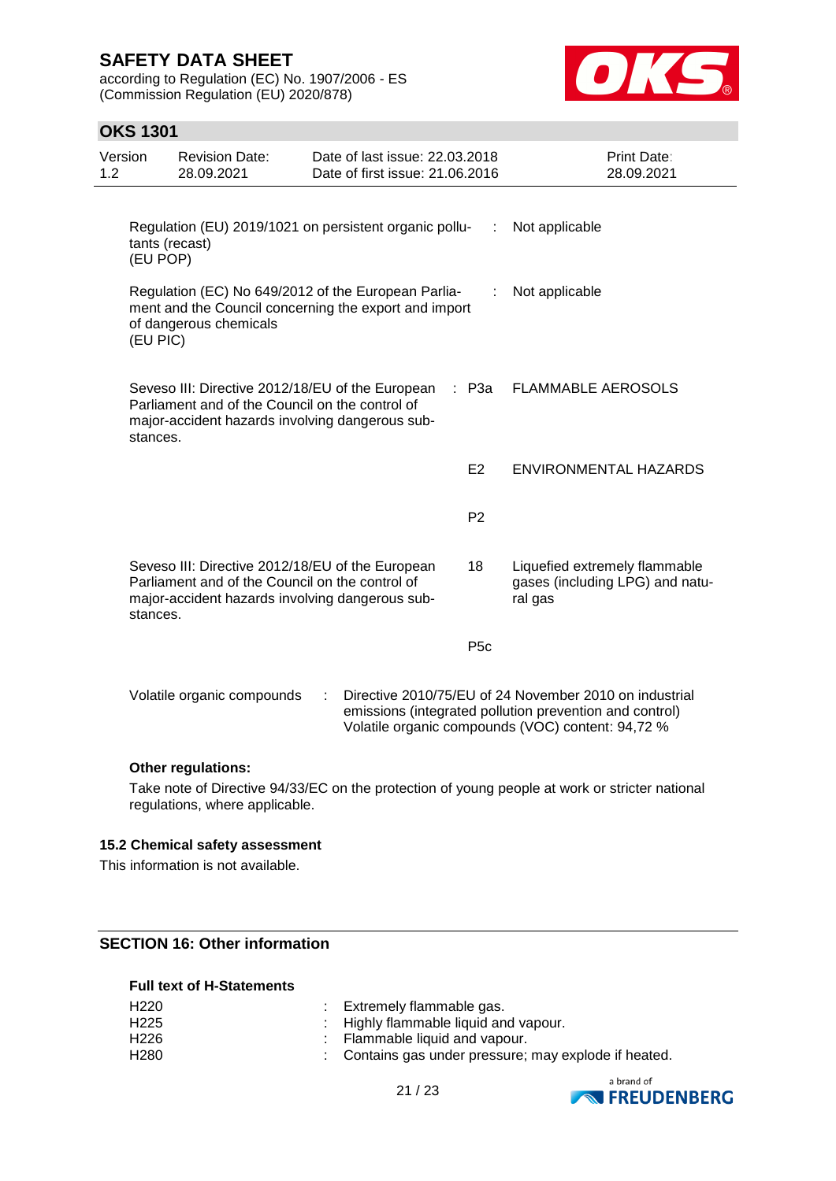according to Regulation (EC) No. 1907/2006 - ES (Commission Regulation (EU) 2020/878)



## **OKS 1301**

| Version<br>1.2 |                            | <b>Revision Date:</b><br>28.09.2021                                                                                                                    |   | Date of last issue: 22.03.2018<br>Date of first issue: 21.06.2016 |                |                  | Print Date:<br>28.09.2021                                                                                                                                              |
|----------------|----------------------------|--------------------------------------------------------------------------------------------------------------------------------------------------------|---|-------------------------------------------------------------------|----------------|------------------|------------------------------------------------------------------------------------------------------------------------------------------------------------------------|
|                | tants (recast)<br>(EU POP) | Regulation (EU) 2019/1021 on persistent organic pollu-                                                                                                 |   |                                                                   |                | ÷.               | Not applicable                                                                                                                                                         |
|                | (EU PIC)                   | Regulation (EC) No 649/2012 of the European Parlia-<br>ment and the Council concerning the export and import<br>of dangerous chemicals                 |   |                                                                   |                |                  | Not applicable                                                                                                                                                         |
|                | stances.                   | Seveso III: Directive 2012/18/EU of the European<br>Parliament and of the Council on the control of<br>major-accident hazards involving dangerous sub- |   |                                                                   | ×.,            | P3a              | <b>FLAMMABLE AEROSOLS</b>                                                                                                                                              |
|                |                            |                                                                                                                                                        |   |                                                                   | E <sub>2</sub> |                  | ENVIRONMENTAL HAZARDS                                                                                                                                                  |
|                |                            |                                                                                                                                                        |   |                                                                   | P <sub>2</sub> |                  |                                                                                                                                                                        |
|                | stances.                   | Seveso III: Directive 2012/18/EU of the European<br>Parliament and of the Council on the control of<br>major-accident hazards involving dangerous sub- |   |                                                                   | 18             |                  | Liquefied extremely flammable<br>gases (including LPG) and natu-<br>ral gas                                                                                            |
|                |                            |                                                                                                                                                        |   |                                                                   |                | P <sub>5</sub> c |                                                                                                                                                                        |
|                |                            | Volatile organic compounds                                                                                                                             | ÷ |                                                                   |                |                  | Directive 2010/75/EU of 24 November 2010 on industrial<br>emissions (integrated pollution prevention and control)<br>Volatile organic compounds (VOC) content: 94,72 % |

#### **Other regulations:**

Take note of Directive 94/33/EC on the protection of young people at work or stricter national regulations, where applicable.

### **15.2 Chemical safety assessment**

This information is not available.

## **SECTION 16: Other information**

### **Full text of H-Statements**

| H220 | Extremely flammable gas.                              |
|------|-------------------------------------------------------|
| H225 | : Highly flammable liquid and vapour.                 |
| H226 | : Flammable liquid and vapour.                        |
| H280 | : Contains gas under pressure; may explode if heated. |



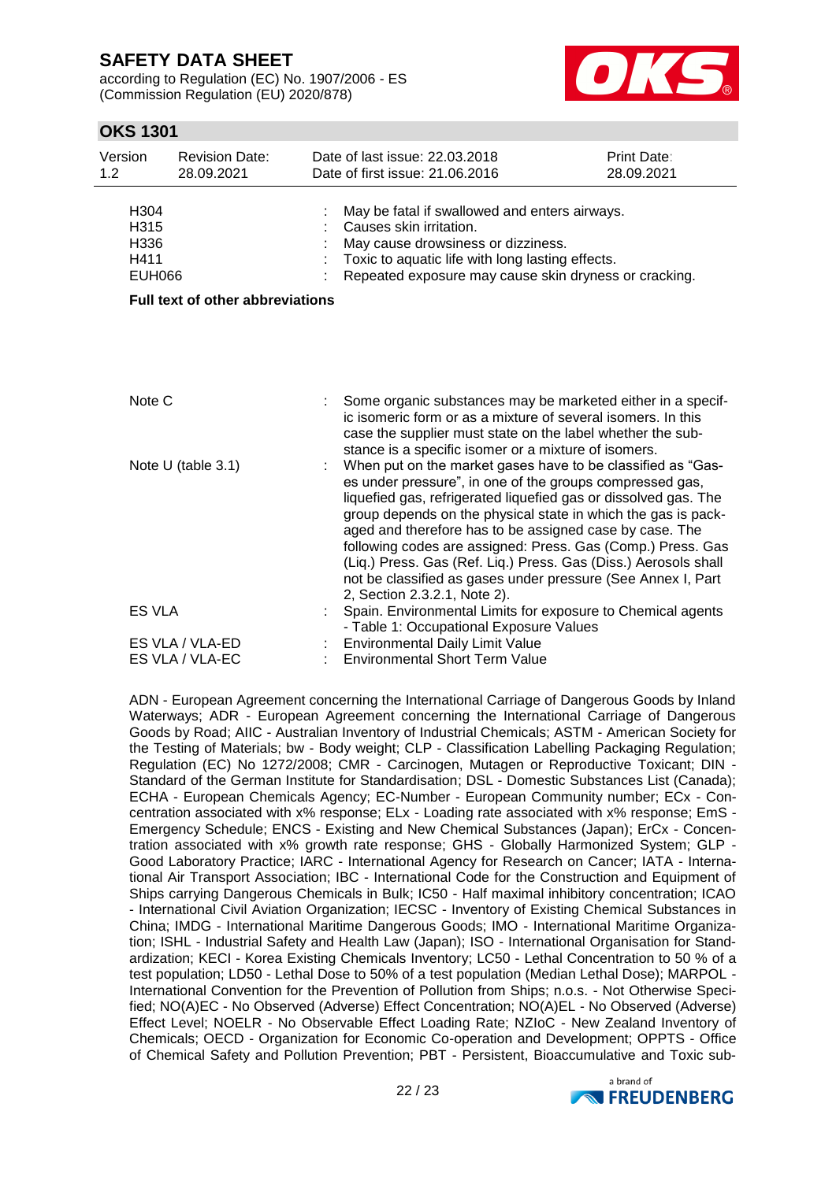according to Regulation (EC) No. 1907/2006 - ES (Commission Regulation (EU) 2020/878)



## **OKS 1301**

| Version<br>1.2 <sub>2</sub> |                                               | <b>Revision Date:</b><br>28.09.2021     | Date of last issue: 22.03.2018<br>Date of first issue: 21.06.2016                                                                                                                                                                                                                                                                                                                                                                                                                                                                                        | Print Date:<br>28.09.2021 |  |
|-----------------------------|-----------------------------------------------|-----------------------------------------|----------------------------------------------------------------------------------------------------------------------------------------------------------------------------------------------------------------------------------------------------------------------------------------------------------------------------------------------------------------------------------------------------------------------------------------------------------------------------------------------------------------------------------------------------------|---------------------------|--|
|                             | H304<br>H315<br>H336<br>H411<br><b>EUH066</b> |                                         | May be fatal if swallowed and enters airways.<br>Causes skin irritation.<br>May cause drowsiness or dizziness.<br>Toxic to aquatic life with long lasting effects.<br>Repeated exposure may cause skin dryness or cracking.                                                                                                                                                                                                                                                                                                                              |                           |  |
|                             |                                               | <b>Full text of other abbreviations</b> |                                                                                                                                                                                                                                                                                                                                                                                                                                                                                                                                                          |                           |  |
|                             |                                               |                                         |                                                                                                                                                                                                                                                                                                                                                                                                                                                                                                                                                          |                           |  |
|                             | Note C                                        |                                         | Some organic substances may be marketed either in a specif-<br>ic isomeric form or as a mixture of several isomers. In this<br>case the supplier must state on the label whether the sub-<br>stance is a specific isomer or a mixture of isomers.                                                                                                                                                                                                                                                                                                        |                           |  |
|                             | Note $U$ (table 3.1)                          |                                         | When put on the market gases have to be classified as "Gas-<br>es under pressure", in one of the groups compressed gas,<br>liquefied gas, refrigerated liquefied gas or dissolved gas. The<br>group depends on the physical state in which the gas is pack-<br>aged and therefore has to be assigned case by case. The<br>following codes are assigned: Press. Gas (Comp.) Press. Gas<br>(Liq.) Press. Gas (Ref. Liq.) Press. Gas (Diss.) Aerosols shall<br>not be classified as gases under pressure (See Annex I, Part<br>2, Section 2.3.2.1, Note 2). |                           |  |
|                             | <b>ES VLA</b>                                 |                                         | Spain. Environmental Limits for exposure to Chemical agents<br>- Table 1: Occupational Exposure Values                                                                                                                                                                                                                                                                                                                                                                                                                                                   |                           |  |
|                             |                                               | ES VLA / VLA-ED<br>ES VLA / VLA-EC      | Environmental Daily Limit Value<br><b>Environmental Short Term Value</b>                                                                                                                                                                                                                                                                                                                                                                                                                                                                                 |                           |  |

ADN - European Agreement concerning the International Carriage of Dangerous Goods by Inland Waterways; ADR - European Agreement concerning the International Carriage of Dangerous Goods by Road; AIIC - Australian Inventory of Industrial Chemicals; ASTM - American Society for the Testing of Materials; bw - Body weight; CLP - Classification Labelling Packaging Regulation; Regulation (EC) No 1272/2008; CMR - Carcinogen, Mutagen or Reproductive Toxicant; DIN - Standard of the German Institute for Standardisation; DSL - Domestic Substances List (Canada); ECHA - European Chemicals Agency; EC-Number - European Community number; ECx - Concentration associated with x% response; ELx - Loading rate associated with x% response; EmS - Emergency Schedule; ENCS - Existing and New Chemical Substances (Japan); ErCx - Concentration associated with x% growth rate response; GHS - Globally Harmonized System; GLP - Good Laboratory Practice; IARC - International Agency for Research on Cancer; IATA - International Air Transport Association; IBC - International Code for the Construction and Equipment of Ships carrying Dangerous Chemicals in Bulk; IC50 - Half maximal inhibitory concentration; ICAO - International Civil Aviation Organization; IECSC - Inventory of Existing Chemical Substances in China; IMDG - International Maritime Dangerous Goods; IMO - International Maritime Organization; ISHL - Industrial Safety and Health Law (Japan); ISO - International Organisation for Standardization; KECI - Korea Existing Chemicals Inventory; LC50 - Lethal Concentration to 50 % of a test population; LD50 - Lethal Dose to 50% of a test population (Median Lethal Dose); MARPOL - International Convention for the Prevention of Pollution from Ships; n.o.s. - Not Otherwise Specified; NO(A)EC - No Observed (Adverse) Effect Concentration; NO(A)EL - No Observed (Adverse) Effect Level; NOELR - No Observable Effect Loading Rate; NZIoC - New Zealand Inventory of Chemicals; OECD - Organization for Economic Co-operation and Development; OPPTS - Office of Chemical Safety and Pollution Prevention; PBT - Persistent, Bioaccumulative and Toxic sub-